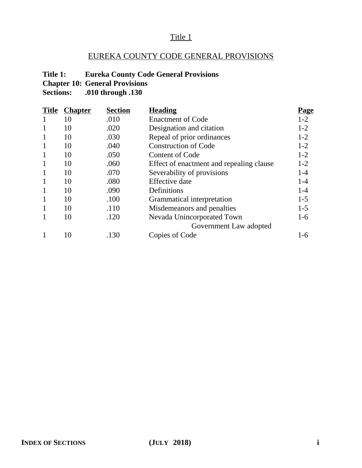## EUREKA COUNTY CODE GENERAL PROVISIONS

## **Title 1: Eureka County Code General Provisions**

**Chapter 10: General Provisions**<br>**Sections:** .010 through .130

| <b>Title</b> | <b>Chapter</b> | <b>Section</b> | <b>Heading</b>                           | <u>Page</u> |
|--------------|----------------|----------------|------------------------------------------|-------------|
| 1            | 10             | .010           | <b>Enactment of Code</b>                 | $1-2$       |
| 1            | 10             | .020           | Designation and citation                 | $1-2$       |
| $\mathbf{1}$ | 10             | .030           | Repeal of prior ordinances               | $1-2$       |
| $\mathbf{1}$ | 10             | .040           | <b>Construction of Code</b>              | $1-2$       |
| $\mathbf{1}$ | 10             | .050           | <b>Content of Code</b>                   | $1-2$       |
| $\mathbf{1}$ | 10             | .060           | Effect of enactment and repealing clause | $1-2$       |
| $\mathbf{1}$ | 10             | .070           | Severability of provisions               | $1-4$       |
| $\mathbf{1}$ | 10             | .080           | <b>Effective</b> date                    | $1 - 4$     |
| $\mathbf{1}$ | 10             | .090           | Definitions                              | $1 - 4$     |
| $\mathbf{1}$ | 10             | .100           | Grammatical interpretation               | $1 - 5$     |
| $\mathbf{1}$ | 10             | .110           | Misdemeanors and penalties               | $1 - 5$     |
| 1            | 10             | .120           | Nevada Unincorporated Town               | $1-6$       |
|              |                |                | Government Law adopted                   |             |
|              | 10             | .130           | Copies of Code                           | 1-6         |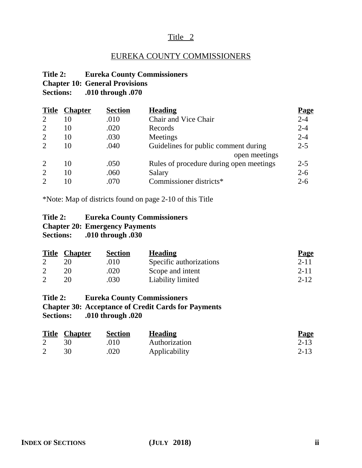## EUREKA COUNTY COMMISSIONERS

#### **Title 2: Eureka County Commissioners Chapter 10: General Provisions Sections: .010 through .070**

| <b>Title</b>                | <u>Chapter</u> | <b>Section</b> | <b>Heading</b>                          | <u>Page</u> |
|-----------------------------|----------------|----------------|-----------------------------------------|-------------|
| $\overline{2}$              | 10             | .010           | Chair and Vice Chair                    | $2 - 4$     |
| $\overline{2}$              | 10             | .020           | Records                                 | $2 - 4$     |
| 2                           | 10             | .030           | Meetings                                | $2 - 4$     |
| $\mathcal{D}_{\cdot}$       | 10             | .040           | Guidelines for public comment during    | $2 - 5$     |
|                             |                |                | open meetings                           |             |
| 2                           | 10             | .050           | Rules of procedure during open meetings | $2 - 5$     |
| $\overline{2}$              | 10             | .060           | Salary                                  | $2 - 6$     |
| $\mathcal{D}_{\mathcal{L}}$ | 10             | .070           | Commissioner districts*                 | $2 - 6$     |

\*Note: Map of districts found on page 2-10 of this Title

#### **Title 2: Eureka County Commissioners Chapter 20: Emergency Payments Sections: .010 through .030**

| <b>Title</b> | <b>Chapter</b> | <b>Section</b> | <b>Heading</b>          | <b>Page</b> |
|--------------|----------------|----------------|-------------------------|-------------|
|              |                | .010           | Specific authorizations | $2 - 11$    |
|              |                | .020           | Scope and intent        | $2 - 11$    |
|              |                | .030           | Liability limited       | $2 - 12$    |

**Title 2: Eureka County Commissioners Chapter 30: Acceptance of Credit Cards for Payments Sections: .010 through .020**

| <b>Title Chapter</b> | <b>Section</b> | <b>Heading</b> | <b>Page</b> |
|----------------------|----------------|----------------|-------------|
|                      | .010           | Authorization  | $2 - 13$    |
|                      | .020           | Applicability  | $2 - 13$    |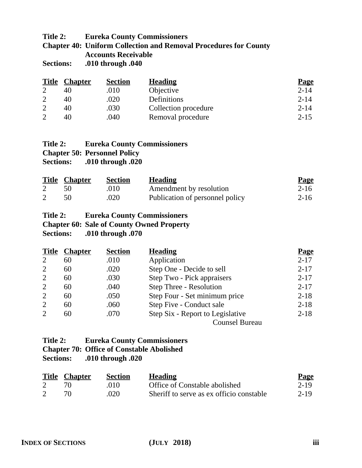## **Title 2: Eureka County Commissioners**

**Chapter 40: Uniform Collection and Removal Procedures for County Accounts Receivable**

**Sections: .010 through .040**

| <b>Title</b> | <b>Chapter</b> | <b>Section</b> | <b>Heading</b>       | <b>Page</b> |
|--------------|----------------|----------------|----------------------|-------------|
|              |                | .010           | Objective            | $2 - 14$    |
|              | 40             | .020           | Definitions          | $2 - 14$    |
|              | 40             | .030           | Collection procedure | $2 - 14$    |
|              | 40             | .040           | Removal procedure    | $2 - 15$    |

| Title 2: | <b>Eureka County Commissioners</b>  |
|----------|-------------------------------------|
|          | <b>Chapter 50: Personnel Policy</b> |
|          | Sections: .010 through .020         |

| <b>Title Chapter</b> | <b>Section</b> | <b>Heading</b>                  | <u>Page</u> |
|----------------------|----------------|---------------------------------|-------------|
|                      | $.010 -$       | Amendment by resolution         | 2-16        |
|                      | .020           | Publication of personnel policy | $2 - 16$    |

## **Title 2: Eureka County Commissioners Chapter 60: Sale of County Owned Property Sections: .010 through .070**

| <b>Title</b>                | <b>Chapter</b> | <b>Section</b> | <b>Heading</b>                   | <b>Page</b> |
|-----------------------------|----------------|----------------|----------------------------------|-------------|
| $\overline{2}$              | 60             | .010           | Application                      | $2 - 17$    |
| $\overline{2}$              | 60             | .020           | Step One - Decide to sell        | $2 - 17$    |
| 2                           | 60             | .030           | Step Two - Pick appraisers       | $2 - 17$    |
| 2                           | 60             | .040           | Step Three - Resolution          | $2 - 17$    |
| $\overline{2}$              | 60             | .050           | Step Four - Set minimum price    | $2 - 18$    |
| $\overline{2}$              | 60             | .060           | Step Five - Conduct sale         | $2 - 18$    |
| $\mathcal{D}_{\mathcal{L}}$ | 60             | .070           | Step Six - Report to Legislative | $2 - 18$    |
|                             |                |                | <b>Counsel Bureau</b>            |             |

| Title 2:         | <b>Eureka County Commissioners</b>               |
|------------------|--------------------------------------------------|
|                  | <b>Chapter 70: Office of Constable Abolished</b> |
| <b>Sections:</b> | .010 through .020                                |

|   | <b>Title Chapter</b> | <b>Section</b> | <b>Heading</b>                           | <b>Page</b> |
|---|----------------------|----------------|------------------------------------------|-------------|
| 2 |                      | .010           | Office of Constable abolished            | $2 - 19$    |
| 2 |                      | .020           | Sheriff to serve as ex officio constable | 2-19        |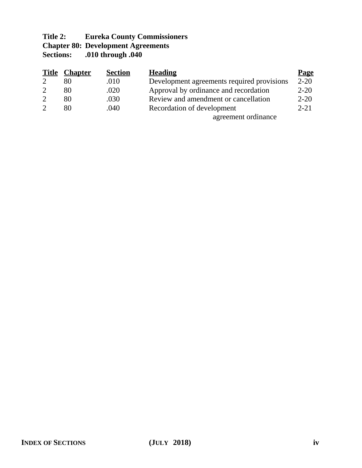## **Title 2: Eureka County Commissioners Chapter 80: Development Agreements Sections: .010 through .040**

| <u>Title</u> | <u>Chapter</u> | <b>Section</b> | <b>Heading</b>                             | <b>Page</b> |
|--------------|----------------|----------------|--------------------------------------------|-------------|
|              | 80             | .010           | Development agreements required provisions | $2 - 20$    |
|              | 80             | .020           | Approval by ordinance and recordation      | $2 - 20$    |
|              | 80             | .030           | Review and amendment or cancellation       | $2 - 20$    |
|              | 80             | .040           | Recordation of development                 | $2 - 21$    |
|              |                |                | agreement ordinance                        |             |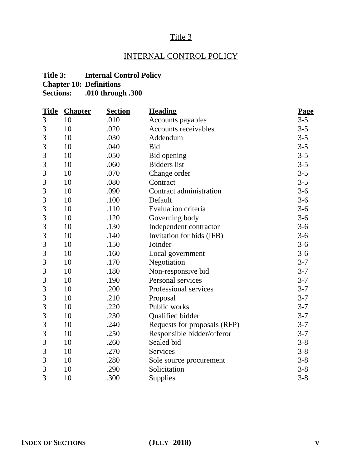## INTERNAL CONTROL POLICY

## **Title 3: Internal Control Policy**

**Chapter 10: Definitions Sections: .010 through .300**

|   | <b>Title Chapter</b> | <b>Section</b> | <b>Heading</b>               | <b>Page</b> |
|---|----------------------|----------------|------------------------------|-------------|
| 3 | 10                   | .010           | Accounts payables            | $3 - 5$     |
| 3 | 10                   | .020           | <b>Accounts receivables</b>  | $3 - 5$     |
| 3 | 10                   | .030           | Addendum                     | $3 - 5$     |
| 3 | 10                   | .040           | <b>Bid</b>                   | $3 - 5$     |
| 3 | 10                   | .050           | Bid opening                  | $3 - 5$     |
| 3 | 10                   | .060           | <b>Bidders</b> list          | $3 - 5$     |
| 3 | 10                   | .070           | Change order                 | $3 - 5$     |
| 3 | 10                   | .080           | Contract                     | $3 - 5$     |
| 3 | 10                   | .090           | Contract administration      | $3-6$       |
| 3 | 10                   | .100           | Default                      | $3-6$       |
| 3 | 10                   | .110           | <b>Evaluation criteria</b>   | $3-6$       |
| 3 | 10                   | .120           | Governing body               | $3-6$       |
| 3 | 10                   | .130           | Independent contractor       | $3-6$       |
| 3 | 10                   | .140           | Invitation for bids (IFB)    | $3-6$       |
| 3 | 10                   | .150           | Joinder                      | $3-6$       |
| 3 | 10                   | .160           | Local government             | $3-6$       |
| 3 | 10                   | .170           | Negotiation                  | $3 - 7$     |
| 3 | 10                   | .180           | Non-responsive bid           | $3 - 7$     |
| 3 | 10                   | .190           | Personal services            | $3 - 7$     |
| 3 | 10                   | .200           | Professional services        | $3 - 7$     |
| 3 | 10                   | .210           | Proposal                     | $3 - 7$     |
| 3 | 10                   | .220           | Public works                 | $3 - 7$     |
| 3 | 10                   | .230           | Qualified bidder             | $3 - 7$     |
| 3 | 10                   | .240           | Requests for proposals (RFP) | $3 - 7$     |
| 3 | 10                   | .250           | Responsible bidder/offeror   | $3 - 7$     |
| 3 | 10                   | .260           | Sealed bid                   | $3 - 8$     |
| 3 | 10                   | .270           | <b>Services</b>              | $3 - 8$     |
| 3 | 10                   | .280           | Sole source procurement      | $3 - 8$     |
| 3 | 10                   | .290           | Solicitation                 | $3 - 8$     |
| 3 | 10                   | .300           | Supplies                     | $3 - 8$     |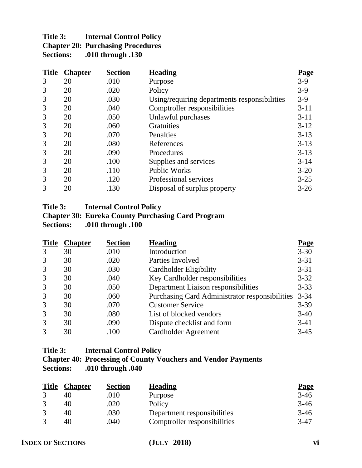| Title 3:         | <b>Internal Control Policy</b>           |
|------------------|------------------------------------------|
|                  | <b>Chapter 20: Purchasing Procedures</b> |
| <b>Sections:</b> | .010 through .130                        |

| <b>Title</b> | <b>Chapter</b> | <b>Section</b> | <b>Heading</b>                               | <u>Page</u> |
|--------------|----------------|----------------|----------------------------------------------|-------------|
| 3            | 20             | .010           | Purpose                                      | $3-9$       |
| 3            | 20             | .020           | Policy                                       | $3-9$       |
| 3            | 20             | .030           | Using/requiring departments responsibilities | $3-9$       |
| 3            | 20             | .040           | Comptroller responsibilities                 | $3 - 11$    |
| 3            | 20             | .050           | Unlawful purchases                           | $3 - 11$    |
| 3            | 20             | .060           | <b>Gratuities</b>                            | $3 - 12$    |
| 3            | 20             | .070           | Penalties                                    | $3-13$      |
| 3            | 20             | .080           | References                                   | $3 - 13$    |
| 3            | 20             | .090           | Procedures                                   | $3 - 13$    |
| 3            | 20             | .100           | Supplies and services                        | $3 - 14$    |
| 3            | 20             | .110           | <b>Public Works</b>                          | $3 - 20$    |
| 3            | 20             | .120           | Professional services                        | $3 - 25$    |
| 3            | 20             | .130           | Disposal of surplus property                 | $3 - 26$    |

## **Title 3: Internal Control Policy**

## **Chapter 30: Eureka County Purchasing Card Program Sections: .010 through .100**

| <b>Title</b> | <b>Chapter</b> | <b>Section</b> | <b>Heading</b>                                        | <b>Page</b> |
|--------------|----------------|----------------|-------------------------------------------------------|-------------|
| 3            | 30             | .010           | Introduction                                          | $3 - 30$    |
| 3            | 30             | .020           | Parties Involved                                      | $3 - 31$    |
| 3            | 30             | .030           | Cardholder Eligibility                                | $3 - 31$    |
| 3            | 30             | .040           | Key Cardholder responsibilities                       | $3 - 32$    |
| 3            | 30             | .050           | Department Liaison responsibilities                   | $3 - 33$    |
| 3            | 30             | .060           | <b>Purchasing Card Administrator responsibilities</b> | $3 - 34$    |
| 3            | 30             | .070           | <b>Customer Service</b>                               | $3-39$      |
| 3            | 30             | .080           | List of blocked vendors                               | $3-40$      |
| 3            | 30             | .090           | Dispute checklist and form                            | $3-41$      |
| 3            | 30             | .100           | Cardholder Agreement                                  | $3-45$      |

#### **Title 3: Internal Control Policy**

## **Chapter 40: Processing of County Vouchers and Vendor Payments Sections: .010 through .040**

| <b>Title</b> | <b>Chapter</b> | <b>Section</b> | <b>Heading</b>               | <b>Page</b> |
|--------------|----------------|----------------|------------------------------|-------------|
|              | 40             | .010           | Purpose                      | $3-46$      |
|              | 40             | .020           | Policy                       | $3-46$      |
|              | 40             | .030           | Department responsibilities  | $3-46$      |
|              | 40             | .040           | Comptroller responsibilities | $3-47$      |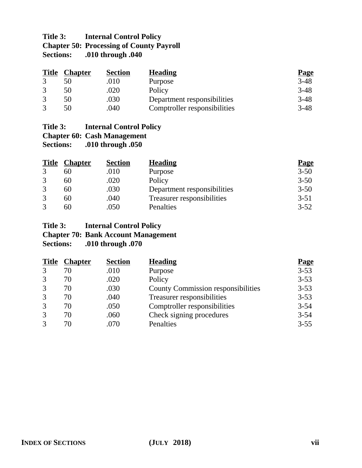## **Title 3: Internal Control Policy Chapter 50: Processing of County Payroll<br>Sections: .010 through .040 Sections: .010 through .040**

| <b>Title</b> | <b>Chapter</b> | <b>Section</b> | <b>Heading</b>               | <b>Page</b> |
|--------------|----------------|----------------|------------------------------|-------------|
|              |                | .010           | Purpose                      | $3 - 48$    |
|              | 50             | .020           | Policy                       | $3 - 48$    |
|              | 50             | .030           | Department responsibilities  | $3-48$      |
|              | 50             | .040           | Comptroller responsibilities | $3 - 48$    |

## **Title 3: Internal Control Policy Chapter 60: Cash Management**<br>**Sections:** .010 through .050 **Sections: .010 through .050**

| <b>Title</b> | <b>Chapter</b> | <b>Section</b> | <b>Heading</b>              | <b>Page</b> |
|--------------|----------------|----------------|-----------------------------|-------------|
| $\mathbf{c}$ | 60             | .010           | Purpose                     | $3 - 50$    |
| 3            | 60             | .020           | Policy                      | $3 - 50$    |
| 3            | 60             | .030           | Department responsibilities | $3 - 50$    |
| 3            | 60             | .040           | Treasurer responsibilities  | $3 - 51$    |
| $\mathbf{c}$ | 60             | .050           | Penalties                   | $3 - 52$    |

## **Title 3: Internal Control Policy Chapter 70: Bank Account Management Sections: .010 through .070**

| <b>Title</b> | <b>Chapter</b> | <b>Section</b> | <b>Heading</b>                            | <b>Page</b> |
|--------------|----------------|----------------|-------------------------------------------|-------------|
| 3            | 70             | .010           | Purpose                                   | $3 - 53$    |
| 3            | 70             | .020           | Policy                                    | $3 - 53$    |
| 3            | 70             | .030           | <b>County Commission responsibilities</b> | $3 - 53$    |
| 3            | 70             | .040           | Treasurer responsibilities                | $3 - 53$    |
| 3            | 70             | .050           | Comptroller responsibilities              | $3 - 54$    |
| 3            | 70             | .060           | Check signing procedures                  | $3 - 54$    |
| 3            | 70             | .070           | Penalties                                 | $3 - 55$    |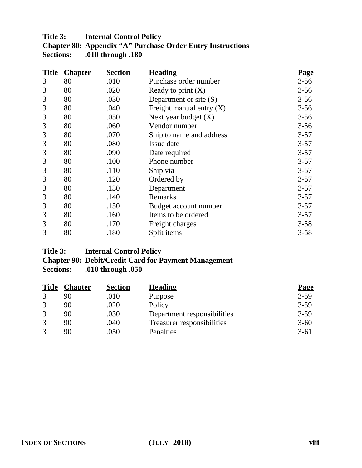## **Title 3: Internal Control Policy**

| <b>Chapter 80: Appendix "A" Purchase Order Entry Instructions</b> |
|-------------------------------------------------------------------|
| <b>Sections:</b> .010 through .180                                |

| <b>Title</b> | <b>Chapter</b> | <b>Section</b> | <b>Heading</b>             | <u>Page</u> |
|--------------|----------------|----------------|----------------------------|-------------|
| 3            | 80             | .010           | Purchase order number      | $3 - 56$    |
| 3            | 80             | .020           | Ready to print $(X)$       | $3 - 56$    |
| 3            | 80             | .030           | Department or site (S)     | $3 - 56$    |
| 3            | 80             | .040           | Freight manual entry $(X)$ | $3 - 56$    |
| 3            | 80             | .050           | Next year budget $(X)$     | $3 - 56$    |
| 3            | 80             | .060           | Vendor number              | $3 - 56$    |
| 3            | 80             | .070           | Ship to name and address   | $3 - 57$    |
| 3            | 80             | .080           | Issue date                 | $3 - 57$    |
| 3            | 80             | .090           | Date required              | $3 - 57$    |
| 3            | 80             | .100           | Phone number               | $3 - 57$    |
| 3            | 80             | .110           | Ship via                   | $3 - 57$    |
| 3            | 80             | .120           | Ordered by                 | $3 - 57$    |
| 3            | 80             | .130           | Department                 | $3 - 57$    |
| 3            | 80             | .140           | Remarks                    | $3 - 57$    |
| 3            | 80             | .150           | Budget account number      | $3 - 57$    |
| 3            | 80             | .160           | Items to be ordered        | $3 - 57$    |
| 3            | 80             | .170           | Freight charges            | $3 - 58$    |
| 3            | 80             | .180           | Split items                | $3 - 58$    |

## **Title 3: Internal Control Policy Chapter 90: Debit/Credit Card for Payment Management Sections: .010 through .050**

| <b>Title</b>      | <b>Chapter</b> | <b>Section</b> | <b>Heading</b>              | <b>Page</b> |
|-------------------|----------------|----------------|-----------------------------|-------------|
| 3                 |                | .010           | Purpose                     | $3 - 59$    |
|                   | 90             | .020           | Policy                      | $3 - 59$    |
|                   | 90             | .030           | Department responsibilities | $3 - 59$    |
| 3                 | 90             | .040           | Treasurer responsibilities  | $3 - 60$    |
| $\mathbf{\Omega}$ | 90             | .050           | Penalties                   | $3 - 61$    |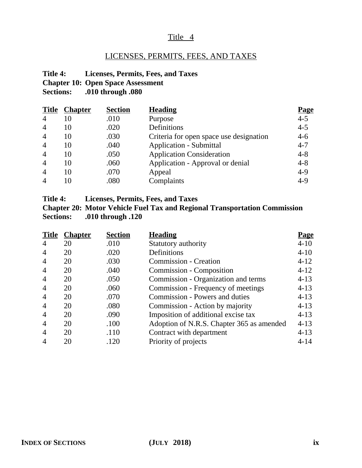## LICENSES, PERMITS, FEES, AND TAXES

**Title 4: Licenses, Permits, Fees, and Taxes Chapter 10: Open Space Assessment Sections: .010 through .080**

| <b>Title</b>   | <b>Chapter</b> | <b>Section</b> | <b>Heading</b>                          | <u>Page</u> |
|----------------|----------------|----------------|-----------------------------------------|-------------|
| $\overline{4}$ | 10             | .010           | Purpose                                 | $4 - 5$     |
| $\overline{4}$ | 10             | .020           | Definitions                             | $4 - 5$     |
| $\overline{4}$ | 10             | .030           | Criteria for open space use designation | $4 - 6$     |
| $\overline{4}$ | 10             | .040           | <b>Application - Submittal</b>          | $4 - 7$     |
| $\overline{4}$ | 10             | .050           | <b>Application Consideration</b>        | $4 - 8$     |
| $\overline{4}$ | 10             | .060           | Application - Approval or denial        | $4 - 8$     |
| $\overline{4}$ | 10             | .070           | Appeal                                  | $4 - 9$     |
| $\overline{4}$ | 10             | .080           | Complaints                              | $4-9$       |

**Title 4: Licenses, Permits, Fees, and Taxes**

**Chapter 20: Motor Vehicle Fuel Tax and Regional Transportation Commission Sections: .010 through .120**

|                | <b>Title Chapter</b> | <b>Section</b> | <b>Heading</b>                            | <b>Page</b> |
|----------------|----------------------|----------------|-------------------------------------------|-------------|
| $\overline{4}$ | 20                   | .010           | Statutory authority                       | $4 - 10$    |
| $\overline{4}$ | 20                   | .020           | Definitions                               | $4 - 10$    |
| $\overline{4}$ | 20                   | .030           | <b>Commission - Creation</b>              | $4 - 12$    |
| $\overline{4}$ | 20                   | .040           | <b>Commission - Composition</b>           | $4-12$      |
| $\overline{4}$ | 20                   | .050           | Commission - Organization and terms       | $4-13$      |
| $\overline{4}$ | 20                   | .060           | Commission - Frequency of meetings        | $4-13$      |
| $\overline{4}$ | 20                   | .070           | Commission - Powers and duties            | $4 - 13$    |
| $\overline{4}$ | 20                   | .080           | Commission - Action by majority           | $4 - 13$    |
| $\overline{4}$ | 20                   | .090           | Imposition of additional excise tax       | $4 - 13$    |
| $\overline{4}$ | 20                   | .100           | Adoption of N.R.S. Chapter 365 as amended | $4 - 13$    |
| $\overline{4}$ | 20                   | .110           | Contract with department                  | $4-13$      |
| 4              | 20                   | .120           | Priority of projects                      | $4 - 14$    |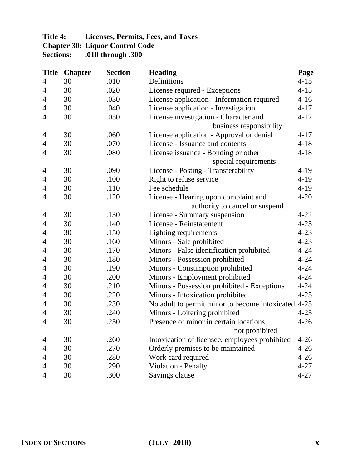## **Title 4: Licenses, Permits, Fees, and Taxes Chapter 30: Liquor Control Code Sections: .010 through .300**

| <b>Title</b>   | <b>Chapter</b> | <b>Section</b> | <b>Heading</b>                                      | <b>Page</b> |
|----------------|----------------|----------------|-----------------------------------------------------|-------------|
| $\overline{4}$ | 30             | .010           | Definitions                                         | $4 - 15$    |
| 4              | 30             | .020           | License required - Exceptions                       | $4 - 15$    |
| $\overline{4}$ | 30             | .030           | License application - Information required          | $4 - 16$    |
| 4              | 30             | .040           | License application - Investigation                 | $4 - 17$    |
| $\overline{4}$ | 30             | .050           | License investigation - Character and               | $4 - 17$    |
|                |                |                | business responsibility                             |             |
| 4              | 30             | .060           | License application - Approval or denial            | $4 - 17$    |
| 4              | 30             | .070           | License - Issuance and contents                     | $4 - 18$    |
| 4              | 30             | .080           | License issuance - Bonding or other                 | $4 - 18$    |
|                |                |                | special requirements                                |             |
| 4              | 30             | .090           | License - Posting - Transferability                 | $4-19$      |
| 4              | 30             | .100           | Right to refuse service                             | $4 - 19$    |
| 4              | 30             | .110           | Fee schedule                                        | $4 - 19$    |
| 4              | 30             | .120           | License - Hearing upon complaint and                | $4 - 20$    |
|                |                |                | authority to cancel or suspend                      |             |
| 4              | 30             | .130           | License - Summary suspension                        | $4 - 22$    |
| $\overline{4}$ | 30             | .140           | License - Reinstatement                             | $4 - 23$    |
| 4              | 30             | .150           | Lighting requirements                               | $4 - 23$    |
| 4              | 30             | .160           | Minors - Sale prohibited                            | $4 - 23$    |
| $\overline{4}$ | 30             | .170           | Minors - False identification prohibited            | $4 - 24$    |
| 4              | 30             | .180           | Minors - Possession prohibited                      | $4 - 24$    |
| 4              | 30             | .190           | Minors - Consumption prohibited                     | $4 - 24$    |
| 4              | 30             | .200           | Minors - Employment prohibited                      | $4 - 24$    |
| 4              | 30             | .210           | Minors - Possession prohibited - Exceptions         | $4 - 24$    |
| 4              | 30             | .220           | Minors - Intoxication prohibited                    | $4 - 25$    |
| $\overline{4}$ | 30             | .230           | No adult to permit minor to become intoxicated 4-25 |             |
| 4              | 30             | .240           | Minors - Loitering prohibited                       | $4 - 25$    |
| $\overline{4}$ | 30             | .250           | Presence of minor in certain locations              | $4 - 26$    |
|                |                |                | not prohibited                                      |             |
| 4              | 30             | .260           | Intoxication of licensee, employees prohibited      | $4 - 26$    |
| 4              | 30             | .270           | Orderly premises to be maintained                   | $4 - 26$    |
| $\overline{4}$ | 30             | .280           | Work card required                                  | $4 - 26$    |
| 4              | 30             | .290           | Violation - Penalty                                 | $4 - 27$    |
| 4              | 30             | .300           | Savings clause                                      | $4 - 27$    |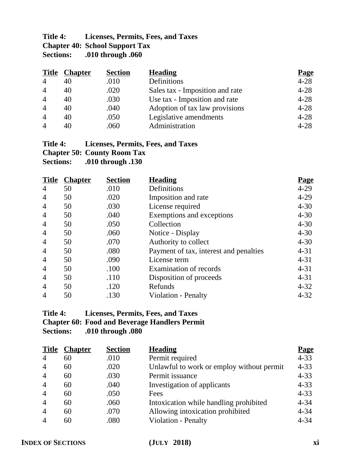## **Title 4: Licenses, Permits, Fees, and Taxes Chapter 40: School Support Tax**<br>Sections: .010 through .060 **Sections: .010 through .060**

| <b>Title</b>   | <b>Chapter</b> | <b>Section</b> | <b>Heading</b>                  | <b>Page</b> |
|----------------|----------------|----------------|---------------------------------|-------------|
| $\overline{4}$ | 40             | .010           | Definitions                     | $4 - 28$    |
| $\overline{4}$ | 40             | .020           | Sales tax - Imposition and rate | $4 - 28$    |
| $\overline{4}$ | 40             | .030           | Use tax - Imposition and rate   | $4 - 28$    |
| $\overline{4}$ | 40             | .040           | Adoption of tax law provisions  | $4 - 28$    |
| $\overline{4}$ | 40             | .050           | Legislative amendments          | $4 - 28$    |
| $\overline{4}$ | 40             | .060           | Administration                  | $4 - 28$    |

## **Title 4: Licenses, Permits, Fees, and Taxes Chapter 50: County Room Tax**

**Sections: .010 through .130**

| <b>Title</b>   | <b>Chapter</b> | <b>Section</b> | <b>Heading</b>                         | <u>Page</u> |
|----------------|----------------|----------------|----------------------------------------|-------------|
| $\overline{4}$ | 50             | .010           | Definitions                            | $4 - 29$    |
| $\overline{4}$ | 50             | .020           | Imposition and rate                    | $4 - 29$    |
| 4              | 50             | .030           | License required                       | $4 - 30$    |
| $\overline{4}$ | 50             | .040           | Exemptions and exceptions              | $4 - 30$    |
| $\overline{4}$ | 50             | .050           | Collection                             | $4 - 30$    |
| $\overline{4}$ | 50             | .060           | Notice - Display                       | $4 - 30$    |
| $\overline{4}$ | 50             | .070           | Authority to collect                   | $4 - 30$    |
| $\overline{4}$ | 50             | .080           | Payment of tax, interest and penalties | $4 - 31$    |
| $\overline{4}$ | 50             | .090           | License term                           | $4 - 31$    |
| $\overline{4}$ | 50             | .100           | Examination of records                 | $4 - 31$    |
| $\overline{4}$ | 50             | .110           | Disposition of proceeds                | $4 - 31$    |
| $\overline{4}$ | 50             | .120           | Refunds                                | $4 - 32$    |
| $\overline{4}$ | 50             | .130           | <b>Violation - Penalty</b>             | $4 - 32$    |

## **Title 4: Licenses, Permits, Fees, and Taxes Chapter 60: Food and Beverage Handlers Permit Sections: .010 through .080**

| <b>Title</b>                | <b>Chapter</b> | <b>Section</b> | <b>Heading</b>                            | <b>Page</b> |
|-----------------------------|----------------|----------------|-------------------------------------------|-------------|
| $\overline{4}$              | 60             | .010           | Permit required                           | $4 - 33$    |
| $\overline{4}$              | 60             | .020           | Unlawful to work or employ without permit | $4 - 33$    |
| $\overline{4}$              | 60             | .030           | Permit issuance                           | $4 - 33$    |
| $\overline{4}$              | 60             | .040           | Investigation of applicants               | $4 - 33$    |
| $\overline{4}$              | 60             | .050           | Fees                                      | $4 - 33$    |
| $\overline{4}$              | 60             | .060           | Intoxication while handling prohibited    | $4 - 34$    |
| $\overline{4}$              | 60             | .070           | Allowing intoxication prohibited          | $4 - 34$    |
| $\boldsymbol{\vartriangle}$ | 60             | .080           | Violation - Penalty                       | $4 - 34$    |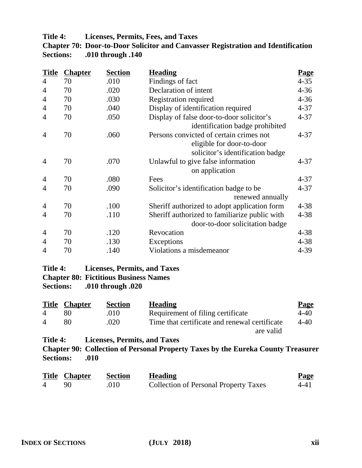**Title 4: Licenses, Permits, Fees, and Taxes**

|                  | <b>Chapter 70: Door-to-Door Solicitor and Canvasser Registration and Identification</b> |
|------------------|-----------------------------------------------------------------------------------------|
| <b>Sections:</b> | .010 through .140                                                                       |

| <b>Title</b>   | <b>Chapter</b> | <b>Section</b> | <b>Heading</b>                                | <u>Page</u> |
|----------------|----------------|----------------|-----------------------------------------------|-------------|
| $\overline{4}$ | 70             | .010           | Findings of fact                              | $4 - 35$    |
| 4              | 70             | .020           | Declaration of intent                         | $4 - 36$    |
| $\overline{4}$ | 70             | .030           | <b>Registration required</b>                  | $4 - 36$    |
| $\overline{4}$ | 70             | .040           | Display of identification required            | $4 - 37$    |
| 4              | 70             | .050           | Display of false door-to-door solicitor's     | $4 - 37$    |
|                |                |                | identification badge prohibited               |             |
| $\overline{4}$ | 70             | .060           | Persons convicted of certain crimes not       | $4 - 37$    |
|                |                |                | eligible for door-to-door                     |             |
|                |                |                | solicitor's identification badge              |             |
| $\overline{4}$ | 70             | .070           | Unlawful to give false information            | $4 - 37$    |
|                |                |                | on application                                |             |
| $\overline{4}$ | 70             | .080           | Fees                                          | $4 - 37$    |
| 4              | 70             | .090           | Solicitor's identification badge to be        | $4 - 37$    |
|                |                |                | renewed annually                              |             |
| $\overline{4}$ | 70             | .100           | Sheriff authorized to adopt application form  | $4 - 38$    |
| 4              | 70             | .110           | Sheriff authorized to familiarize public with | $4 - 38$    |
|                |                |                | door-to-door solicitation badge               |             |
| 4              | 70             | .120           | Revocation                                    | $4 - 38$    |
| $\overline{4}$ | 70             | .130           | Exceptions                                    | $4 - 38$    |
| $\overline{4}$ | 70             | .140           | Violations a misdemeanor                      | 4-39        |

## **Title 4: Licenses, Permits, and Taxes Chapter 80: Fictitious Business Names Sections: .010 through .020**

|                | <b>Title Chapter</b> | <b>Section</b> | <b>Heading</b>                                | <b>Page</b> |
|----------------|----------------------|----------------|-----------------------------------------------|-------------|
| $\overline{4}$ |                      | .010           | Requirement of filing certificate             | 4-40        |
| $\overline{4}$ | 80.                  | .020           | Time that certificate and renewal certificate | 4-40        |
|                |                      |                | are valid                                     |             |

**Title 4: Licenses, Permits, and Taxes**

**Chapter 90: Collection of Personal Property Taxes by the Eureka County Treasurer Sections: .010**

|                | <b>Title Chapter</b> | Section | <b>Heading</b>                               | <b>Page</b> |
|----------------|----------------------|---------|----------------------------------------------|-------------|
| $\overline{4}$ |                      | .010    | <b>Collection of Personal Property Taxes</b> | 4-41        |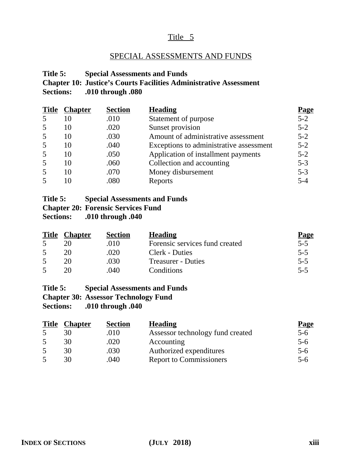## SPECIAL ASSESSMENTS AND FUNDS

## **Title 5: Special Assessments and Funds Chapter 10: Justice's Courts Facilities Administrative Assessment Sections: .010 through .080**

|   | <b>Title Chapter</b> | <b>Section</b> | <b>Heading</b>                          | <b>Page</b> |
|---|----------------------|----------------|-----------------------------------------|-------------|
| 5 | 10                   | .010           | Statement of purpose                    | $5 - 2$     |
| 5 | 10                   | .020           | Sunset provision                        | $5 - 2$     |
| 5 | 10                   | .030           | Amount of administrative assessment     | $5 - 2$     |
| 5 | 10                   | .040           | Exceptions to administrative assessment | $5 - 2$     |
| 5 | 10                   | .050           | Application of installment payments     | $5 - 2$     |
| 5 | 10                   | .060           | Collection and accounting               | $5 - 3$     |
| 5 | 10                   | .070           | Money disbursement                      | $5 - 3$     |
| 5 | 10                   | .080           | Reports                                 | $5 - 4$     |

#### **Title 5: Special Assessments and Funds**

## **Chapter 20: Forensic Services Fund**

**Sections: .010 through .040**

| <b>Title</b> | <b>Chapter</b> | <b>Section</b> | <b>Heading</b>                 | <b>Page</b> |
|--------------|----------------|----------------|--------------------------------|-------------|
|              |                | .010           | Forensic services fund created | $5-5$       |
|              | 20             | .020           | Clerk - Duties                 | $5 - 5$     |
|              |                | .030           | <b>Treasurer - Duties</b>      | $5 - 5$     |
|              |                | .040           | Conditions                     | $5 - 5$     |

#### **Title 5: Special Assessments and Funds**

**Chapter 30: Assessor Technology Fund**

| <b>Title Chapter</b> | <b>Section</b> | <b>Heading</b>                   | <b>Page</b> |
|----------------------|----------------|----------------------------------|-------------|
|                      | .010           | Assessor technology fund created | $5-6$       |
|                      | .020           | Accounting                       | $5 - 6$     |
| 30                   | .030           | Authorized expenditures          | $5-6$       |
| 30                   | .040           | <b>Report to Commissioners</b>   | 5-6         |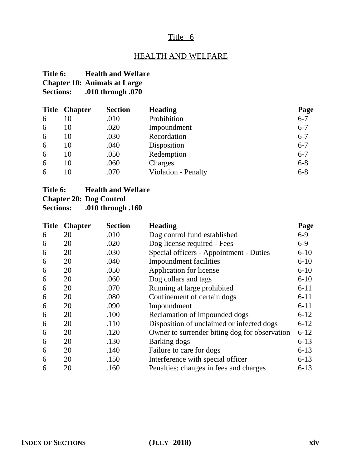## HEALTH AND WELFARE

## **Title 6: Health and Welfare Chapter 10: Animals at Large**

**Sections: .010 through .070**

| <b>Title</b> | <b>Chapter</b> | <b>Section</b> | <b>Heading</b>      | <b>Page</b> |
|--------------|----------------|----------------|---------------------|-------------|
| 6            | 10             | .010           | Prohibition         | $6 - 7$     |
| 6            | 10             | .020           | Impoundment         | $6 - 7$     |
| 6            | 10             | .030           | Recordation         | $6 - 7$     |
| 6            | 10             | .040           | Disposition         | $6 - 7$     |
| 6            | 10             | .050           | Redemption          | $6 - 7$     |
| 6            | 10             | .060           | Charges             | $6 - 8$     |
| 6            | 10             | .070           | Violation - Penalty | $6 - 8$     |

## **Title 6: Health and Welfare**

## **Chapter 20: Dog Control**

| <b>Title</b> | <b>Chapter</b> | <b>Section</b> | <b>Heading</b>                                | <b>Page</b> |
|--------------|----------------|----------------|-----------------------------------------------|-------------|
| 6            | 20             | .010           | Dog control fund established                  | $6-9$       |
| 6            | 20             | .020           | Dog license required - Fees                   | $6-9$       |
| 6            | 20             | .030           | Special officers - Appointment - Duties       | $6 - 10$    |
| 6            | 20             | .040           | <b>Impoundment</b> facilities                 | $6 - 10$    |
| 6            | 20             | .050           | Application for license                       | $6 - 10$    |
| 6            | 20             | .060           | Dog collars and tags                          | $6 - 10$    |
| 6            | 20             | .070           | Running at large prohibited                   | $6 - 11$    |
| 6            | 20             | .080           | Confinement of certain dogs                   | $6 - 11$    |
| 6            | 20             | .090           | Impoundment                                   | $6 - 11$    |
| 6            | 20             | .100           | Reclamation of impounded dogs                 | $6 - 12$    |
| 6            | 20             | .110           | Disposition of unclaimed or infected dogs     | $6 - 12$    |
| 6            | 20             | .120           | Owner to surrender biting dog for observation | $6 - 12$    |
| 6            | 20             | .130           | Barking dogs                                  | $6 - 13$    |
| 6            | 20             | .140           | Failure to care for dogs                      | $6-13$      |
| 6            | 20             | .150           | Interference with special officer             | $6 - 13$    |
| 6            | 20             | .160           | Penalties; changes in fees and charges        | $6 - 13$    |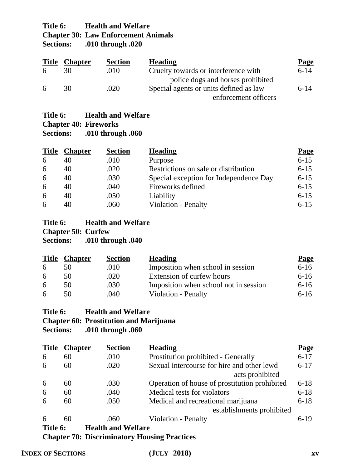## **Title 6: Health and Welfare Chapter 30: Law Enforcement Animals<br>Sections:** .010 through .020 **Sections: .010 through .020**

|   | <b>Title Chapter</b> | <b>Section</b> | <b>Heading</b>                         | <b>Page</b> |
|---|----------------------|----------------|----------------------------------------|-------------|
| 6 |                      | .010           | Cruelty towards or interference with   | $6 - 14$    |
|   |                      |                | police dogs and horses prohibited      |             |
| 6 | 30                   | .020           | Special agents or units defined as law | $6 - 14$    |
|   |                      |                | enforcement officers                   |             |

## **Title 6: Health and Welfare Chapter 40: Fireworks Sections: .010 through .060**

| <b>Title</b> | <b>Chapter</b> | <b>Section</b> | <b>Heading</b>                         | <b>Page</b> |
|--------------|----------------|----------------|----------------------------------------|-------------|
| 6            | 40             | .010           | Purpose                                | $6 - 15$    |
| 6            | 40             | .020           | Restrictions on sale or distribution   | $6 - 15$    |
| 6            | 40             | .030           | Special exception for Independence Day | $6 - 15$    |
| 6            | 40             | .040           | Fireworks defined                      | $6 - 15$    |
| 6            | 40             | .050           | Liability                              | $6 - 15$    |
| 6            | 40             | .060           | <b>Violation - Penalty</b>             | $6 - 15$    |

#### **Title 6: Health and Welfare Chapter 50: Curfew**

**Sections: .010 through .040**

| <b>Title</b> | <u>Chapter</u> | <b>Section</b> | <b>Heading</b>                        | <b>Page</b> |
|--------------|----------------|----------------|---------------------------------------|-------------|
| 6            | 50             | .010           | Imposition when school in session     | $6 - 16$    |
| 6            | 50             | .020           | Extension of curfew hours             | $6 - 16$    |
| 6            | 50             | .030           | Imposition when school not in session | $6 - 16$    |
| 6            | 50             | .040           | Violation - Penalty                   | $6-16$      |

## **Title 6: Health and Welfare**

## **Chapter 60: Prostitution and Marijuana**

**Sections: .010 through .060**

| <b>Title</b> | <b>Chapter</b> | <b>Section</b>                               | <b>Heading</b>                                | <b>Page</b> |
|--------------|----------------|----------------------------------------------|-----------------------------------------------|-------------|
| 6            | 60             | .010                                         | Prostitution prohibited - Generally           | $6 - 17$    |
| 6            | 60             | .020                                         | Sexual intercourse for hire and other lewd    | $6 - 17$    |
|              |                |                                              | acts prohibited                               |             |
| 6            | 60             | .030                                         | Operation of house of prostitution prohibited | $6 - 18$    |
| 6            | 60             | .040                                         | Medical tests for violators                   | $6 - 18$    |
| 6            | 60             | .050                                         | Medical and recreational marijuana            | $6 - 18$    |
|              |                |                                              | establishments prohibited                     |             |
| 6            | 60             | .060                                         | Violation - Penalty                           | $6-19$      |
| Title 6:     |                | <b>Health and Welfare</b>                    |                                               |             |
|              |                | Chantar 70. Discriminatory Housing Dractices |                                               |             |

**Chapter 70: Discriminatory Housing Practices**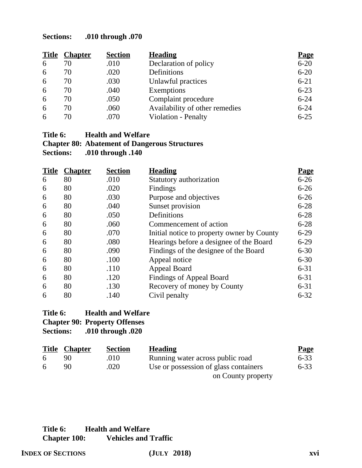| <b>Title</b> | <b>Chapter</b> | <b>Section</b> | <b>Heading</b>                 | <b>Page</b> |
|--------------|----------------|----------------|--------------------------------|-------------|
| 6            | 70             | .010           | Declaration of policy          | $6 - 20$    |
| 6            | 70             | .020           | Definitions                    | $6 - 20$    |
| 6            | 70             | .030           | Unlawful practices             | $6 - 21$    |
| 6            | 70             | .040           | Exemptions                     | $6 - 23$    |
| 6            | 70             | .050           | Complaint procedure            | $6 - 24$    |
| 6            | 70             | .060           | Availability of other remedies | $6 - 24$    |
| 6            | 70             | .070           | Violation - Penalty            | $6 - 25$    |

#### **Title 6: Health and Welfare Chapter 80: Abatement of Dangerous Structures Sections: .010 through .140**

| <b>Title</b> | <b>Chapter</b> | <b>Section</b> | <b>Heading</b>                             | <u>Page</u> |
|--------------|----------------|----------------|--------------------------------------------|-------------|
| 6            | 80             | .010           | Statutory authorization                    | $6 - 26$    |
| 6            | 80             | .020           | Findings                                   | $6 - 26$    |
| 6            | 80             | .030           | Purpose and objectives                     | $6 - 26$    |
| 6            | 80             | .040           | Sunset provision                           | $6 - 28$    |
| 6            | 80             | .050           | Definitions                                | $6 - 28$    |
| 6            | 80             | .060           | Commencement of action                     | $6 - 28$    |
| 6            | 80             | .070           | Initial notice to property owner by County | $6 - 29$    |
| 6            | 80             | .080           | Hearings before a designee of the Board    | $6 - 29$    |
| 6            | 80             | .090           | Findings of the designee of the Board      | $6 - 30$    |
| 6            | 80             | .100           | Appeal notice                              | $6 - 30$    |
| 6            | 80             | .110           | Appeal Board                               | $6 - 31$    |
| 6            | 80             | .120           | <b>Findings of Appeal Board</b>            | $6 - 31$    |
| 6            | 80             | .130           | Recovery of money by County                | $6 - 31$    |
| 6            | 80             | .140           | Civil penalty                              | $6 - 32$    |

## **Title 6: Health and Welfare Chapter 90: Property Offenses Sections: .010 through .020**

| <u>Title</u> | <b>Chapter</b> | <b>Section</b> | <b>Heading</b>                        | <b>Page</b> |
|--------------|----------------|----------------|---------------------------------------|-------------|
|              |                | .010           | Running water across public road      | $6 - 33$    |
| -6           | 90             | .020           | Use or possession of glass containers | $6 - 33$    |
|              |                |                | on County property                    |             |

## **Title 6: Health and Welfare Chapter 100: Vehicles and Traffic**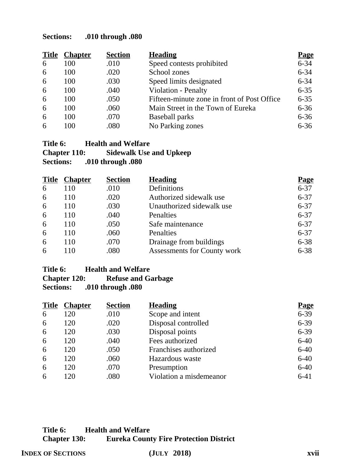| <b>Title</b> | <b>Chapter</b> | <b>Section</b> | <b>Heading</b>                              | <b>Page</b> |
|--------------|----------------|----------------|---------------------------------------------|-------------|
| 6            | 100            | .010           | Speed contests prohibited                   | $6 - 34$    |
| 6            | 100            | .020           | School zones                                | $6 - 34$    |
| 6            | 100            | .030           | Speed limits designated                     | $6 - 34$    |
| 6            | 100            | .040           | Violation - Penalty                         | $6 - 35$    |
| 6            | 100            | .050           | Fifteen-minute zone in front of Post Office | $6 - 35$    |
| 6            | 100            | .060           | Main Street in the Town of Eureka           | $6 - 36$    |
| 6            | 100            | .070           | <b>Baseball parks</b>                       | $6 - 36$    |
| 6            | 100            | .080           | No Parking zones                            | $6 - 36$    |

#### **Title 6: Health and Welfare Chapter 110: Sidewalk Use and Upkeep Sections: .010 through .080**

| <b>Title</b> | <b>Chapter</b> | <b>Section</b> | <b>Heading</b>              | <b>Page</b> |
|--------------|----------------|----------------|-----------------------------|-------------|
| 6            | 110            | .010           | Definitions                 | $6 - 37$    |
| 6            | 110            | .020           | Authorized sidewalk use     | $6 - 37$    |
| 6            | 110            | .030           | Unauthorized sidewalk use   | $6 - 37$    |
| 6            | 110            | .040           | Penalties                   | $6 - 37$    |
| 6            | 110            | .050           | Safe maintenance            | $6 - 37$    |
| 6            | 110            | .060           | Penalties                   | $6 - 37$    |
| 6            | 110            | .070           | Drainage from buildings     | $6 - 38$    |
| 6            | 10             | .080           | Assessments for County work | $6 - 38$    |

#### **Title 6: Health and Welfare Chapter 120:** Refuse and Garbage<br>Sections: .010 through .080 **Sections: .010 through .080**

| <b>Title</b> | <b>Chapter</b> | <b>Section</b> | <b>Heading</b>          | <b>Page</b> |
|--------------|----------------|----------------|-------------------------|-------------|
| 6            | 120            | .010           | Scope and intent        | $6 - 39$    |
| 6            | 120            | .020           | Disposal controlled     | $6 - 39$    |
| 6            | 120            | .030           | Disposal points         | $6 - 39$    |
| 6            | 120            | .040           | Fees authorized         | $6 - 40$    |
| 6            | 120            | .050           | Franchises authorized   | $6 - 40$    |
| 6            | 120            | .060           | Hazardous waste         | $6 - 40$    |
| 6            | 120            | .070           | Presumption             | $6 - 40$    |
| 6            | 120            | .080           | Violation a misdemeanor | $6 - 41$    |

## **Title 6: Health and Welfare Chapter 130: Eureka County Fire Protection District**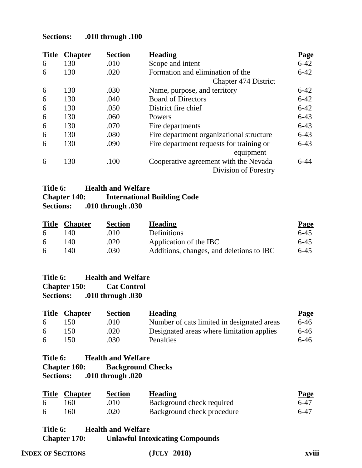| <b>Title</b> | <b>Chapter</b> | <b>Section</b> | <b>Heading</b>                           | <b>Page</b> |
|--------------|----------------|----------------|------------------------------------------|-------------|
| 6            | 130            | .010           | Scope and intent                         | $6 - 42$    |
| 6            | 130            | .020           | Formation and elimination of the         | $6 - 42$    |
|              |                |                | <b>Chapter 474 District</b>              |             |
| 6            | 130            | .030           | Name, purpose, and territory             | $6 - 42$    |
| 6            | 130            | .040           | <b>Board of Directors</b>                | $6 - 42$    |
| 6            | 130            | .050           | District fire chief                      | $6 - 42$    |
| 6            | 130            | .060           | Powers                                   | $6 - 43$    |
| 6            | 130            | .070           | Fire departments                         | $6 - 43$    |
| 6            | 130            | .080           | Fire department organizational structure | $6 - 43$    |
| 6            | 130            | .090           | Fire department requests for training or | $6-43$      |
|              |                |                | equipment                                |             |
| 6            | 130            | .100           | Cooperative agreement with the Nevada    | $6-44$      |
|              |                |                | Division of Forestry                     |             |

## **Title 6: Health and Welfare Chapter 140:** International Building Code<br>Sections: .010 through .030 **Sections: .010 through .030**

|   | <b>Title Chapter</b> | <b>Section</b> | <b>Heading</b>                           | <b>Page</b> |
|---|----------------------|----------------|------------------------------------------|-------------|
| 6 | 140                  | .010           | Definitions                              | $6-45$      |
| 6 | 140                  | .020           | Application of the IBC                   | $6-45$      |
| 6 | 140                  | .030           | Additions, changes, and deletions to IBC | $6-45$      |

| Title 6:            | <b>Health and Welfare</b> |
|---------------------|---------------------------|
| <b>Chapter 150:</b> | <b>Cat Control</b>        |
| <b>Sections:</b>    | .010 through .030         |

|   | <b>Title Chapter</b> | <b>Section</b> | <b>Heading</b>                             | <b>Page</b> |
|---|----------------------|----------------|--------------------------------------------|-------------|
| 6 | 150.                 | .010           | Number of cats limited in designated areas | 6-46        |
| 6 | 150                  | .020           | Designated areas where limitation applies  | $6 - 46$    |
| 6 | 150.                 | .030           | <b>Penalties</b>                           | 6-46        |

## **Title 6: Health and Welfare**

| <b>Chapter 160:</b> | <b>Background Checks</b> |
|---------------------|--------------------------|
| <b>Sections:</b>    | .010 through .020        |

|     | <b>Title Chapter</b> | <b>Section</b> | <b>Heading</b>             | <b>Page</b> |
|-----|----------------------|----------------|----------------------------|-------------|
| . რ | 160                  | .010           | Background check required  | 6-47        |
| -6  | 160                  | .020           | Background check procedure | 6-47        |

## **Title 6: Health and Welfare Chapter 170: Unlawful Intoxicating Compounds**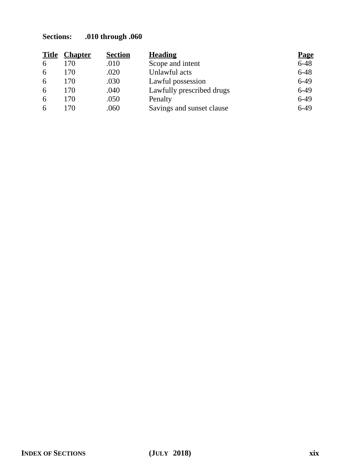| <b>Title</b> | <b>Chapter</b> | <b>Section</b> | <b>Heading</b>            | <b>Page</b> |
|--------------|----------------|----------------|---------------------------|-------------|
| 6            | 170            | .010           | Scope and intent          | $6 - 48$    |
| 6            | 170            | .020           | Unlawful acts             | $6 - 48$    |
| 6            | 170            | .030           | Lawful possession         | $6-49$      |
| 6            | 170            | .040           | Lawfully prescribed drugs | $6-49$      |
| 6            | 170            | .050           | Penalty                   | $6-49$      |
| 6            | 170            | .060           | Savings and sunset clause | $6-49$      |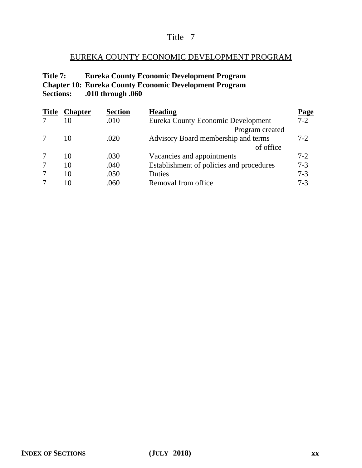## EUREKA COUNTY ECONOMIC DEVELOPMENT PROGRAM

## **Title 7: Eureka County Economic Development Program Chapter 10: Eureka County Economic Development Program Sections: .010 through .060**

| <b>Title</b> | <b>Chapter</b> | <b>Section</b> | <b>Heading</b>                           | <u>Page</u> |
|--------------|----------------|----------------|------------------------------------------|-------------|
|              | 10             | .010           | Eureka County Economic Development       | $7 - 2$     |
|              |                |                | Program created                          |             |
|              | 10             | .020           | Advisory Board membership and terms      | $7-2$       |
|              |                |                | of office                                |             |
|              | 10             | .030           | Vacancies and appointments               | $7-2$       |
|              | 10             | .040           | Establishment of policies and procedures | $7 - 3$     |
|              | 10             | .050           | Duties                                   | $7 - 3$     |
|              | 10             | .060           | Removal from office                      | $7 - 3$     |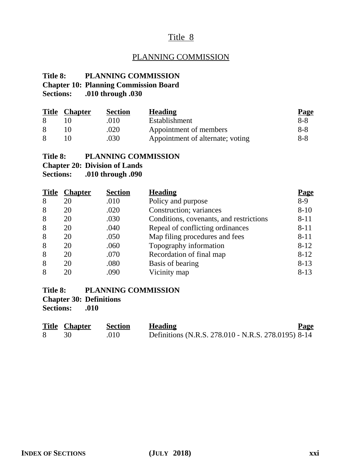## PLANNING COMMISSION

## **Title 8: PLANNING COMMISSION**

## **Chapter 10: Planning Commission Board**

**Sections: .010 through .030**

| <b>Title</b> | <b>Chapter</b> | <b>Section</b> | <b>Heading</b>                   | <b>Page</b> |
|--------------|----------------|----------------|----------------------------------|-------------|
|              |                | .010           | Establishment                    | 8-8         |
|              |                | .020           | Appointment of members           | 8-8         |
|              |                | .030           | Appointment of alternate; voting | 8-8         |

#### **Title 8: PLANNING COMMISSION**

**Chapter 20: Division of Lands**

**Sections: .010 through .090**

| <b>Title</b> | <b>Chapter</b> | <b>Section</b> | <b>Heading</b>                          | <u>Page</u> |
|--------------|----------------|----------------|-----------------------------------------|-------------|
| 8            | 20             | .010           | Policy and purpose                      | $8-9$       |
| 8            | 20             | .020           | Construction; variances                 | $8 - 10$    |
| 8            | 20             | .030           | Conditions, covenants, and restrictions | $8 - 11$    |
| 8            | 20             | .040           | Repeal of conflicting ordinances        | $8 - 11$    |
| 8            | 20             | .050           | Map filing procedures and fees          | $8 - 11$    |
| 8            | 20             | .060           | Topography information                  | $8 - 12$    |
| 8            | 20             | .070           | Recordation of final map                | $8 - 12$    |
| 8            | 20             | .080           | Basis of bearing                        | $8 - 13$    |
| 8            | 20             | .090           | Vicinity map                            | $8 - 13$    |

## **Title 8: PLANNING COMMISSION**

**Chapter 30: Definitions**

**Sections: .010**

| <b>Title Chapter</b> | Section | <b>Heading</b>                                      | <b>Page</b> |
|----------------------|---------|-----------------------------------------------------|-------------|
|                      | .010    | Definitions (N.R.S. 278.010 - N.R.S. 278.0195) 8-14 |             |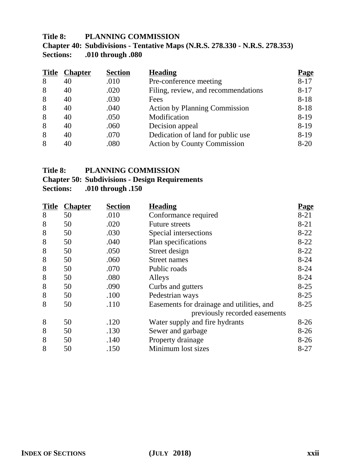#### **Title 8: PLANNING COMMISSION**

## **Chapter 40: Subdivisions - Tentative Maps (N.R.S. 278.330 - N.R.S. 278.353) Sections: .010 through .080**

| <b>Title</b> | <b>Chapter</b> | <b>Section</b> | <b>Heading</b>                       | <b>Page</b> |
|--------------|----------------|----------------|--------------------------------------|-------------|
| 8            | 40             | .010           | Pre-conference meeting               | $8 - 17$    |
| 8            | 40             | .020           | Filing, review, and recommendations  | $8 - 17$    |
| 8            | 40             | .030           | Fees                                 | $8 - 18$    |
| 8            | 40             | .040           | <b>Action by Planning Commission</b> | $8 - 18$    |
| 8            | 40             | .050           | Modification                         | $8-19$      |
| 8            | 40             | .060           | Decision appeal                      | $8-19$      |
| 8            | 40             | .070           | Dedication of land for public use    | $8-19$      |
| 8            | 40             | .080           | <b>Action by County Commission</b>   | $8 - 20$    |

## **Title 8: PLANNING COMMISSION**

#### **Chapter 50: Subdivisions - Design Requirements**

| <b>Title</b> | <b>Chapter</b> | <b>Section</b> | <b>Heading</b>                            | <b>Page</b> |
|--------------|----------------|----------------|-------------------------------------------|-------------|
| 8            | 50             | .010           | Conformance required                      | $8 - 21$    |
| 8            | 50             | .020           | <b>Future streets</b>                     | $8 - 21$    |
| 8            | 50             | .030           | Special intersections                     | $8 - 22$    |
| 8            | 50             | .040           | Plan specifications                       | $8 - 22$    |
| 8            | 50             | .050           | Street design                             | $8-22$      |
| 8            | 50             | .060           | Street names                              | $8 - 24$    |
| 8            | 50             | .070           | Public roads                              | $8 - 24$    |
| 8            | 50             | .080           | Alleys                                    | $8 - 24$    |
| 8            | 50             | .090           | Curbs and gutters                         | $8 - 25$    |
| 8            | 50             | .100           | Pedestrian ways                           | $8 - 25$    |
| 8            | 50             | .110           | Easements for drainage and utilities, and | $8 - 25$    |
|              |                |                | previously recorded easements             |             |
| 8            | 50             | .120           | Water supply and fire hydrants            | $8-26$      |
| 8            | 50             | .130           | Sewer and garbage                         | $8-26$      |
| 8            | 50             | .140           | Property drainage                         | $8-26$      |
| 8            | 50             | .150           | Minimum lost sizes                        | $8 - 27$    |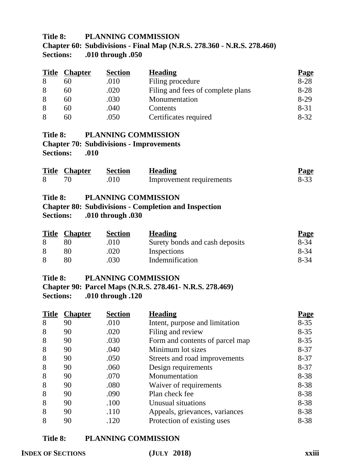## **Title 8: PLANNING COMMISSION Chapter 60: Subdivisions - Final Map (N.R.S. 278.360 - N.R.S. 278.460) Sections: .010 through .050**

| <b>Title</b> | <b>Chapter</b> | <b>Section</b> | <b>Heading</b>                    | <b>Page</b> |
|--------------|----------------|----------------|-----------------------------------|-------------|
| 8            | 60             | .010           | Filing procedure                  | $8 - 28$    |
| 8            | 60             | .020           | Filing and fees of complete plans | $8 - 28$    |
| 8            | 60             | .030           | Monumentation                     | $8-29$      |
| 8            | 60             | .040           | Contents                          | $8 - 31$    |
| 8            | 60             | .050           | Certificates required             | $8 - 32$    |

#### **Title 8: PLANNING COMMISSION Chapter 70: Subdivisions - Improvements**

**Sections: .010**

| <b>Title Chapter</b> | Section | <b>Heading</b>           | <b>Page</b> |
|----------------------|---------|--------------------------|-------------|
|                      | .010    | Improvement requirements | 8-33        |

#### **Title 8: PLANNING COMMISSION**

## **Chapter 80: Subdivisions - Completion and Inspection Sections: .010 through .030**

| <b>Title Chapter</b> | <b>Section</b> | <b>Heading</b>                 | <b>Page</b> |
|----------------------|----------------|--------------------------------|-------------|
|                      | .010           | Surety bonds and cash deposits | 8-34        |
|                      | .020           | Inspections                    | 8-34        |
|                      | .030           | Indemnification                | 8-34        |

#### **Title 8: PLANNING COMMISSION**

**Chapter 90: Parcel Maps (N.R.S. 278.461- N.R.S. 278.469) Sections: .010 through .120**

| <b>Title</b> | <b>Chapter</b> | <b>Section</b> | <b>Heading</b>                  | <u>Page</u> |
|--------------|----------------|----------------|---------------------------------|-------------|
| 8            | 90             | .010           | Intent, purpose and limitation  | $8 - 35$    |
| 8            | 90             | .020           | Filing and review               | $8 - 35$    |
| 8            | 90             | .030           | Form and contents of parcel map | $8 - 35$    |
| 8            | 90             | .040           | Minimum lot sizes               | $8 - 37$    |
| 8            | 90             | .050           | Streets and road improvements   | $8 - 37$    |
| 8            | 90             | .060           | Design requirements             | $8 - 37$    |
| 8            | 90             | .070           | Monumentation                   | $8 - 38$    |
| 8            | 90             | .080           | Waiver of requirements          | $8 - 38$    |
| 8            | 90             | .090           | Plan check fee                  | $8 - 38$    |
| 8            | 90             | .100           | Unusual situations              | $8 - 38$    |
| 8            | 90             | .110           | Appeals, grievances, variances  | $8 - 38$    |
| 8            | 90             | .120           | Protection of existing uses     | $8 - 38$    |

#### **Title 8: PLANNING COMMISSION**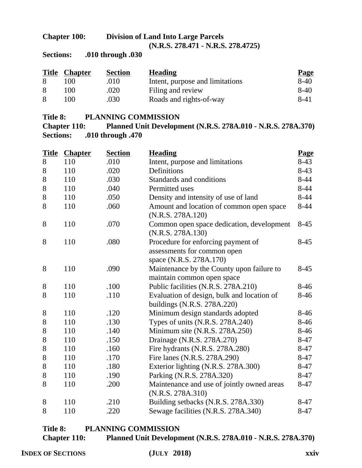#### **Chapter 100: Division of Land Into Large Parcels (N.R.S. 278.471 - N.R.S. 278.4725)**

**Sections: .010 through .030**

| <b>Title</b> | <b>Chapter</b> | <b>Section</b> | <b>Heading</b>                  | <b>Page</b> |
|--------------|----------------|----------------|---------------------------------|-------------|
| 8            | $00^{\circ}$   | .010           | Intent, purpose and limitations | $8-40$      |
| 8            | 00             | .020           | Filing and review               | $8-40$      |
| 8            | 00             | .030           | Roads and rights-of-way         | 8-41        |

#### **Title 8: PLANNING COMMISSION**

**Chapter 110: Planned Unit Development (N.R.S. 278A.010 - N.R.S. 278A.370) Sections: .010 through .470**

|       | <b>Title Chapter</b> | <b>Section</b> | <b>Heading</b>                                                                               | Page     |
|-------|----------------------|----------------|----------------------------------------------------------------------------------------------|----------|
| 8     | 110                  | .010           | Intent, purpose and limitations                                                              | $8-43$   |
| $8\,$ | 110                  | .020           | Definitions                                                                                  | $8-43$   |
| 8     | 110                  | .030           | Standards and conditions                                                                     | $8 - 44$ |
| 8     | 110                  | .040           | Permitted uses                                                                               | $8 - 44$ |
| 8     | 110                  | .050           | Density and intensity of use of land                                                         | $8-44$   |
| 8     | 110                  | .060           | Amount and location of common open space<br>(N.R.S. 278A.120)                                | $8-44$   |
| 8     | 110                  | .070           | Common open space dedication, development<br>(N.R.S. 278A.130)                               | $8-45$   |
| 8     | 110                  | .080           | Procedure for enforcing payment of<br>assessments for common open<br>space (N.R.S. 278A.170) | $8-45$   |
| 8     | 110                  | .090           | Maintenance by the County upon failure to<br>maintain common open space                      | $8-45$   |
| 8     | 110                  | .100           | Public facilities (N.R.S. 278A.210)                                                          | $8-46$   |
| 8     | 110                  | .110           | Evaluation of design, bulk and location of<br>buildings (N.R.S. 278A.220)                    | $8-46$   |
| 8     | 110                  | .120           | Minimum design standards adopted                                                             | $8-46$   |
| 8     | 110                  | .130           | Types of units (N.R.S. 278A.240)                                                             | $8-46$   |
| 8     | 110                  | .140           | Minimum site (N.R.S. 278A.250)                                                               | $8-46$   |
| $8\,$ | 110                  | .150           | Drainage (N.R.S. 278A.270)                                                                   | $8 - 47$ |
| 8     | 110                  | .160           | Fire hydrants (N.R.S. 278A.280)                                                              | $8 - 47$ |
| 8     | 110                  | .170           | Fire lanes (N.R.S. 278A.290)                                                                 | $8 - 47$ |
| 8     | 110                  | .180           | Exterior lighting (N.R.S. 278A.300)                                                          | $8 - 47$ |
| 8     | 110                  | .190           | Parking (N.R.S. 278A.320)                                                                    | $8 - 47$ |
| 8     | 110                  | .200           | Maintenance and use of jointly owned areas<br>(N.R.S. 278A.310)                              | 8-47     |
| 8     | 110                  | .210           | Building setbacks (N.R.S. 278A.330)                                                          | $8-47$   |
| 8     | 110                  | .220           | Sewage facilities (N.R.S. 278A.340)                                                          | $8 - 47$ |

## **Title 8: PLANNING COMMISSION Chapter 110: Planned Unit Development (N.R.S. 278A.010 - N.R.S. 278A.370)**

**INDEX OF SECTIONS (JULY 2018) xxiv**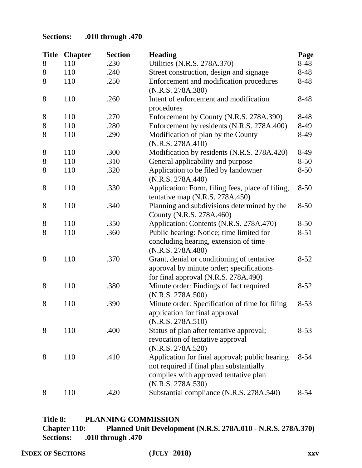| <b>Title</b> | <b>Chapter</b> | <b>Section</b> | <b>Heading</b>                                                                                                                                           | Page     |
|--------------|----------------|----------------|----------------------------------------------------------------------------------------------------------------------------------------------------------|----------|
| 8            | 110            | .230           | Utilities (N.R.S. 278A.370)                                                                                                                              | 8-48     |
| 8            | 110            | .240           | Street construction, design and signage                                                                                                                  | 8-48     |
| 8            | 110            | .250           | Enforcement and modification procedures<br>(N.R.S. 278A.380)                                                                                             | 8-48     |
| 8            | 110            | .260           | Intent of enforcement and modification                                                                                                                   | 8-48     |
|              |                |                | procedures                                                                                                                                               |          |
| 8            | 110            | .270           | Enforcement by County (N.R.S. 278A.390)                                                                                                                  | 8-48     |
| $8\,$        | 110            | .280           | Enforcement by residents (N.R.S. 278A.400)                                                                                                               | 8-49     |
| 8            | 110            | .290           | Modification of plan by the County<br>(N.R.S. 278A.410)                                                                                                  | 8-49     |
| 8            | 110            | .300           | Modification by residents (N.R.S. 278A.420)                                                                                                              | 8-49     |
| $8\,$        | 110            | .310           | General applicability and purpose                                                                                                                        | $8 - 50$ |
| 8            | 110            | .320           | Application to be filed by landowner<br>(N.R.S. 278A.440)                                                                                                | $8 - 50$ |
| 8            | 110            | .330           | Application: Form, filing fees, place of filing,<br>tentative map (N.R.S. 278A.450)                                                                      | $8 - 50$ |
| 8            | 110            | .340           | Planning and subdivisions determined by the<br>County (N.R.S. 278A.460)                                                                                  | $8 - 50$ |
| 8            | 110            | .350           | Application: Contents (N.R.S. 278A.470)                                                                                                                  | $8 - 50$ |
| 8            | 110            | .360           | Public hearing: Notice; time limited for<br>concluding hearing, extension of time<br>(N.R.S. 278A.480)                                                   | $8 - 51$ |
| 8            | 110            | .370           | Grant, denial or conditioning of tentative<br>approval by minute order; specifications<br>for final approval (N.R.S. 278A.490)                           | $8 - 52$ |
| 8            | 110            | .380           | Minute order: Findings of fact required<br>(N.R.S. 278A.500)                                                                                             | $8 - 52$ |
| 8            | 110            | .390           | Minute order: Specification of time for filing<br>application for final approval<br>(N.R.S. 278A.510)                                                    | $8 - 53$ |
| 8            | 110            | .400           | Status of plan after tentative approval;<br>revocation of tentative approval<br>(N.R.S. 278A.520)                                                        | $8 - 53$ |
| 8            | 110            | .410           | Application for final approval; public hearing<br>not required if final plan substantially<br>complies with approved tentative plan<br>(N.R.S. 278A.530) | $8 - 54$ |
| 8            | 110            | .420           | Substantial compliance (N.R.S. 278A.540)                                                                                                                 | $8 - 54$ |

## **Title 8: PLANNING COMMISSION Chapter 110: Planned Unit Development (N.R.S. 278A.010 - N.R.S. 278A.370) Sections: .010 through .470**

**INDEX OF SECTIONS (JULY 2018) xxv**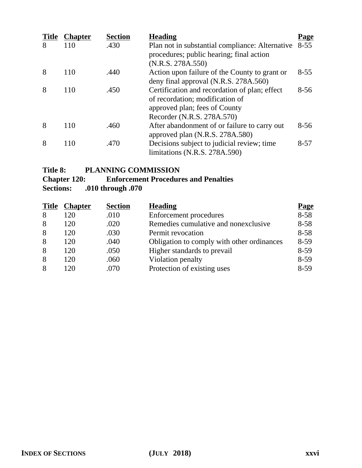| <b>Title</b> | <b>Chapter</b> | <b>Section</b> | <b>Heading</b>                                                                                                                                  | <u>Page</u> |
|--------------|----------------|----------------|-------------------------------------------------------------------------------------------------------------------------------------------------|-------------|
| 8            | 110            | .430           | Plan not in substantial compliance: Alternative<br>procedures; public hearing; final action<br>(N.R.S. 278A.550)                                | $8 - 55$    |
| 8            | 110            | .440           | Action upon failure of the County to grant or<br>deny final approval (N.R.S. 278A.560)                                                          | $8 - 55$    |
| 8            | 110            | .450           | Certification and recordation of plan; effect<br>of recordation; modification of<br>approved plan; fees of County<br>Recorder (N.R.S. 278A.570) | $8 - 56$    |
| 8            | 110            | .460           | After abandonment of or failure to carry out<br>approved plan (N.R.S. 278A.580)                                                                 | $8 - 56$    |
| 8            | 110            | .470           | Decisions subject to judicial review; time<br>limitations (N.R.S. 278A.590)                                                                     | $8 - 57$    |

## **Title 8: PLANNING COMMISSION**

# **Chapter 120:** Enforcement Procedures and Penalties<br>Sections: .010 through .070

| <b>Title</b> | <b>Chapter</b> | <b>Section</b> | <b>Heading</b>                             | <b>Page</b> |
|--------------|----------------|----------------|--------------------------------------------|-------------|
| 8            | 120            | .010           | Enforcement procedures                     | $8 - 58$    |
| 8            | 120            | .020           | Remedies cumulative and nonexclusive       | $8 - 58$    |
| 8            | 120            | .030           | Permit revocation                          | $8 - 58$    |
| 8            | 120            | .040           | Obligation to comply with other ordinances | $8-59$      |
| 8            | 120            | .050           | Higher standards to prevail                | $8-59$      |
| 8            | 120            | .060           | Violation penalty                          | $8-59$      |
| 8            | 120            | .070           | Protection of existing uses                | $8-59$      |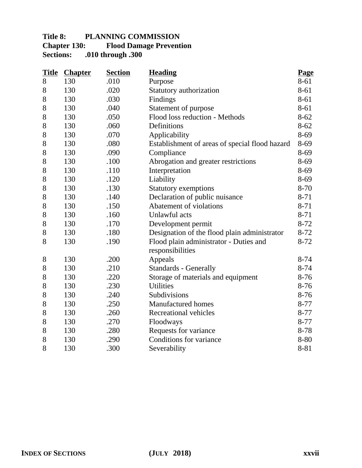## **Title 8: PLANNING COMMISSION Chapter 130:** Flood Damage Prevention<br>Sections: .010 through .300 **Sections: .010 through .300**

| <b>Title</b> | <b>Chapter</b> | <b>Section</b> | <b>Heading</b>                                 | <b>Page</b> |
|--------------|----------------|----------------|------------------------------------------------|-------------|
| 8            | 130            | .010           | Purpose                                        | 8-61        |
| 8            | 130            | .020           | Statutory authorization                        | 8-61        |
| 8            | 130            | .030           | Findings                                       | 8-61        |
| 8            | 130            | .040           | Statement of purpose                           | 8-61        |
| 8            | 130            | .050           | Flood loss reduction - Methods                 | $8 - 62$    |
| 8            | 130            | .060           | Definitions                                    | $8 - 62$    |
| 8            | 130            | .070           | Applicability                                  | 8-69        |
| 8            | 130            | .080           | Establishment of areas of special flood hazard | 8-69        |
| 8            | 130            | .090           | Compliance                                     | 8-69        |
| 8            | 130            | .100           | Abrogation and greater restrictions            | 8-69        |
| 8            | 130            | .110           | Interpretation                                 | $8-69$      |
| 8            | 130            | .120           | Liability                                      | 8-69        |
| 8            | 130            | .130           | <b>Statutory exemptions</b>                    | 8-70        |
| 8            | 130            | .140           | Declaration of public nuisance                 | 8-71        |
| 8            | 130            | .150           | Abatement of violations                        | $8 - 71$    |
| 8            | 130            | .160           | Unlawful acts                                  | $8 - 71$    |
| 8            | 130            | .170           | Development permit                             | $8 - 72$    |
| 8            | 130            | .180           | Designation of the flood plain administrator   | $8-72$      |
| 8            | 130            | .190           | Flood plain administrator - Duties and         | 8-72        |
|              |                |                | responsibilities                               |             |
| 8            | 130            | .200           | Appeals                                        | $8 - 74$    |
| 8            | 130            | .210           | <b>Standards - Generally</b>                   | $8 - 74$    |
| 8            | 130            | .220           | Storage of materials and equipment             | $8-76$      |
| 8            | 130            | .230           | <b>Utilities</b>                               | $8-76$      |
| 8            | 130            | .240           | Subdivisions                                   | $8-76$      |
| 8            | 130            | .250           | <b>Manufactured</b> homes                      | $8 - 77$    |
| 8            | 130            | .260           | Recreational vehicles                          | $8 - 77$    |
| 8            | 130            | .270           | Floodways                                      | $8 - 77$    |
| 8            | 130            | .280           | Requests for variance                          | 8-78        |
| 8            | 130            | .290           | Conditions for variance                        | 8-80        |
| 8            | 130            | .300           | Severability                                   | 8-81        |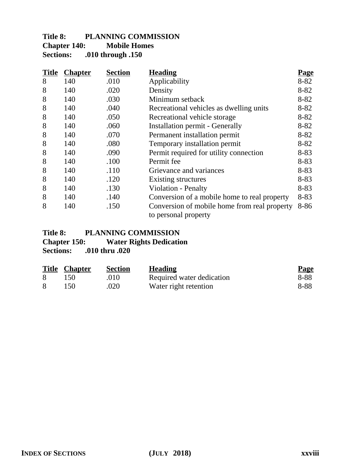## **Title 8: PLANNING COMMISSION Chapter 140:** Mobile Homes<br>Sections: .010 through .150 **Sections: .010 through .150**

| <b>Title</b> | <b>Chapter</b> | <b>Section</b> | <b>Heading</b>                                                       | <b>Page</b> |
|--------------|----------------|----------------|----------------------------------------------------------------------|-------------|
| 8            | 140            | .010           | Applicability                                                        | $8 - 82$    |
| 8            | 140            | .020           | Density                                                              | $8 - 82$    |
| 8            | 140            | .030           | Minimum setback                                                      | $8 - 82$    |
| 8            | 140            | .040           | Recreational vehicles as dwelling units                              | $8 - 82$    |
| 8            | 140            | .050           | Recreational vehicle storage                                         | $8 - 82$    |
| 8            | 140            | .060           | <b>Installation permit - Generally</b>                               | $8 - 82$    |
| 8            | 140            | .070           | Permanent installation permit                                        | $8 - 82$    |
| 8            | 140            | .080           | Temporary installation permit                                        | $8 - 82$    |
| 8            | 140            | .090           | Permit required for utility connection                               | $8 - 83$    |
| 8            | 140            | .100           | Permit fee                                                           | $8 - 83$    |
| 8            | 140            | .110           | Grievance and variances                                              | $8 - 83$    |
| 8            | 140            | .120           | Existing structures                                                  | $8 - 83$    |
| 8            | 140            | .130           | Violation - Penalty                                                  | $8 - 83$    |
| 8            | 140            | .140           | Conversion of a mobile home to real property                         | $8 - 83$    |
| 8            | 140            | .150           | Conversion of mobile home from real property<br>to personal property | 8-86        |

# Title 8: PLANNING COMMISSION<br>Chapter 150: Water Rights Dedication

**Water Rights Dedication** 

| <b>Title Chapter</b> | <b>Section</b> | <b>Heading</b>            | <b>Page</b> |
|----------------------|----------------|---------------------------|-------------|
| 150                  | .010           | Required water dedication | 8-88        |
| 150                  | .020           | Water right retention     | 8-88        |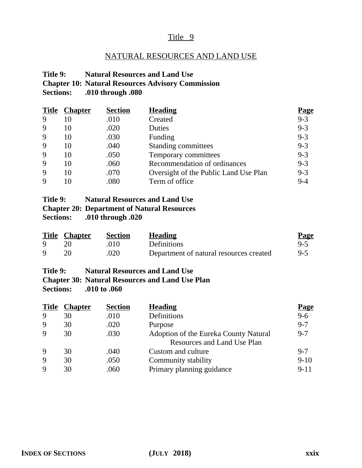## NATURAL RESOURCES AND LAND USE

#### **Title 9: Natural Resources and Land Use Chapter 10: Natural Resources Advisory Commission Sections: .010 through .080**

| <b>Title</b> | <b>Chapter</b> | <b>Section</b> | <b>Heading</b>                        | <b>Page</b> |
|--------------|----------------|----------------|---------------------------------------|-------------|
| 9            | 10             | .010           | Created                               | $9 - 3$     |
| 9            | 10             | .020           | Duties                                | $9 - 3$     |
| 9            | 10             | .030           | Funding                               | $9 - 3$     |
| 9            | 10             | .040           | Standing committees                   | $9 - 3$     |
| 9            | 10             | .050           | Temporary committees                  | $9 - 3$     |
| 9            | 10             | .060           | Recommendation of ordinances          | $9 - 3$     |
| 9            | 10             | .070           | Oversight of the Public Land Use Plan | $9 - 3$     |
| 9            |                | .080           | Term of office                        | $9 - 4$     |

| Title 9:         | <b>Natural Resources and Land Use</b>              |
|------------------|----------------------------------------------------|
|                  | <b>Chapter 20: Department of Natural Resources</b> |
| <b>Sections:</b> | .010 through .020                                  |

|             | <b>Title Chapter</b> | Section | <b>Heading</b>                          | <b>Page</b> |
|-------------|----------------------|---------|-----------------------------------------|-------------|
| Q.          |                      | .010    | <b>Definitions</b>                      | $9-5$       |
| $\mathbf Q$ |                      | .020    | Department of natural resources created | $9-5$       |

#### **Title 9: Natural Resources and Land Use Chapter 30: Natural Resources and Land Use Plan Sections: .010 to .060**

| <b>Chapter</b> | <b>Section</b> | <b>Heading</b>                        | <u>Page</u> |
|----------------|----------------|---------------------------------------|-------------|
| 30             | .010           | Definitions                           | $9 - 6$     |
| 30             | .020           | Purpose                               | $9 - 7$     |
| 30             | .030           | Adoption of the Eureka County Natural | $9 - 7$     |
|                |                | Resources and Land Use Plan           |             |
| 30             | .040           | Custom and culture                    | $9 - 7$     |
| 30             | .050           | Community stability                   | $9-10$      |
| 30             | .060           | Primary planning guidance             | $9 - 11$    |
|                |                |                                       |             |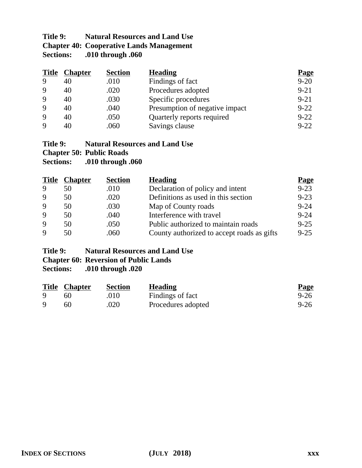## **Title 9: Natural Resources and Land Use Chapter 40: Cooperative Lands Management**<br>Sections: .010 through .060 **Sections: .010 through .060**

| <b>Title</b> | <b>Chapter</b> | <b>Section</b> | <b>Heading</b>                 | <b>Page</b> |
|--------------|----------------|----------------|--------------------------------|-------------|
| 9            | 40             | .010           | Findings of fact               | $9 - 20$    |
| 9            | 40             | .020           | Procedures adopted             | $9 - 21$    |
| 9            | 40             | .030           | Specific procedures            | $9 - 21$    |
| 9            | 40             | .040           | Presumption of negative impact | $9 - 22$    |
| 9            | 40             | .050           | Quarterly reports required     | $9 - 22$    |
| $\mathbf Q$  | 40             | .060           | Savings clause                 | $9 - 22$    |

## **Title 9: Natural Resources and Land Use**

**Chapter 50: Public Roads**

**Sections: .010 through .060**

| <b>Title</b> | <b>Chapter</b> | <b>Section</b> | <b>Heading</b>                             | <b>Page</b> |
|--------------|----------------|----------------|--------------------------------------------|-------------|
| 9            | 50             | .010           | Declaration of policy and intent           | $9 - 23$    |
| 9            | 50             | .020           | Definitions as used in this section        | $9 - 23$    |
| 9            | 50             | .030           | Map of County roads                        | $9 - 24$    |
| 9            | 50             | .040           | Interference with travel                   | $9 - 24$    |
| 9            | 50             | .050           | Public authorized to maintain roads        | $9 - 25$    |
| $\mathbf Q$  | 50             | .060           | County authorized to accept roads as gifts | $9 - 25$    |

## **Title 9: Natural Resources and Land Use**

# **Chapter 60: Reversion of Public Lands<br>Sections:** .010 through .020

|              | <b>Title Chapter</b> | <b>Section</b> | <b>Heading</b>     | <b>Page</b> |
|--------------|----------------------|----------------|--------------------|-------------|
| <sup>Q</sup> | 60                   | .010           | Findings of fact   | $9 - 26$    |
| Q            | 60                   | .020           | Procedures adopted | $9 - 26$    |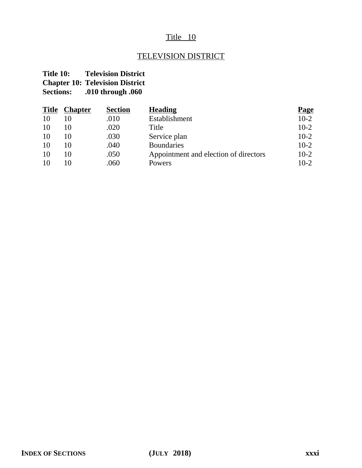## TELEVISION DISTRICT

## **Title 10: Television District Chapter 10: Television District**

| <b>Title</b> | <b>Chapter</b> | <b>Section</b> | <b>Heading</b>                        | <b>Page</b> |
|--------------|----------------|----------------|---------------------------------------|-------------|
| 10           |                | .010           | Establishment                         | $10-2$      |
| 10           | 10             | .020           | Title                                 | $10-2$      |
| 10           | 10             | .030           | Service plan                          | $10-2$      |
| 10           | 10             | .040           | <b>Boundaries</b>                     | $10-2$      |
| 10           | 10             | .050           | Appointment and election of directors | $10-2$      |
| 10           | 10             | .060           | Powers                                | $10-2$      |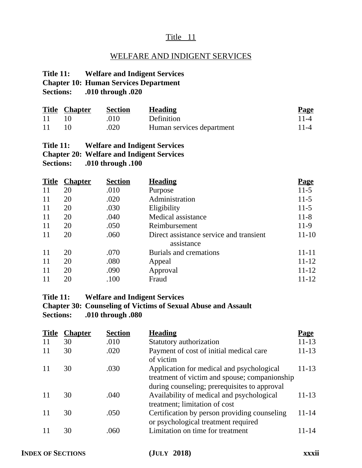## WELFARE AND INDIGENT SERVICES

#### **Title 11: Welfare and Indigent Services Chapter 10: Human Services Department**

**Sections: .010 through .020**

|    | <b>Title Chapter</b> | Section | <b>Heading</b>            | <b>Page</b> |
|----|----------------------|---------|---------------------------|-------------|
| 11 |                      | -010    | Definition                | $11 - 4$    |
| 11 |                      | .020    | Human services department | $11 - 4$    |

#### **Title 11: Welfare and Indigent Services Chapter 20: Welfare and Indigent Services Sections: .010 through .100**

|    | <b>Title Chapter</b> | <b>Section</b> | <b>Heading</b>                                        | <b>Page</b> |
|----|----------------------|----------------|-------------------------------------------------------|-------------|
| 11 | 20                   | .010           | Purpose                                               | $11-5$      |
| 11 | 20                   | .020           | Administration                                        | $11-5$      |
| 11 | 20                   | .030           | Eligibility                                           | $11-5$      |
| 11 | 20                   | .040           | Medical assistance                                    | $11 - 8$    |
| 11 | 20                   | .050           | Reimbursement                                         | $11-9$      |
| 11 | 20                   | .060           | Direct assistance service and transient<br>assistance | $11-10$     |
| 11 | 20                   | .070           | Burials and cremations                                | $11 - 11$   |
| 11 | 20                   | .080           | Appeal                                                | $11 - 12$   |
| 11 | 20                   | .090           | Approval                                              | $11 - 12$   |
| 11 | 20                   | .100           | Fraud                                                 | $11 - 12$   |

#### **Title 11: Welfare and Indigent Services**

#### **Chapter 30: Counseling of Victims of Sexual Abuse and Assault Sections: .010 through .080**

| <b>Title</b> | <b>Chapter</b> | <b>Section</b> | <b>Heading</b>                                                                                                                             | <u>Page</u> |
|--------------|----------------|----------------|--------------------------------------------------------------------------------------------------------------------------------------------|-------------|
| 11           | 30             | .010           | Statutory authorization                                                                                                                    | $11 - 13$   |
| 11           | 30             | .020           | Payment of cost of initial medical care<br>of victim                                                                                       | $11 - 13$   |
| 11           | 30             | .030           | Application for medical and psychological<br>treatment of victim and spouse; companionship<br>during counseling; prerequisites to approval | 11-13       |
| 11           | 30             | .040           | Availability of medical and psychological<br>treatment; limitation of cost                                                                 | $11 - 13$   |
| 11           | 30             | .050           | Certification by person providing counseling<br>or psychological treatment required                                                        | $11 - 14$   |
|              | 30             | .060           | Limitation on time for treatment                                                                                                           | 11-14       |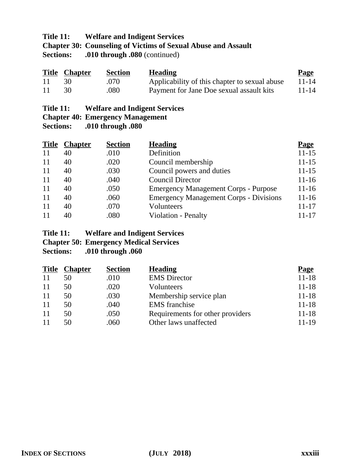## **Title 11: Welfare and Indigent Services Chapter 30: Counseling of Victims of Sexual Abuse and Assault Sections:** .010 through .080 (continued)

|     | <b>Title Chapter</b> | <b>Section</b> | <b>Heading</b>                                | <b>Page</b> |
|-----|----------------------|----------------|-----------------------------------------------|-------------|
| -11 |                      | .070           | Applicability of this chapter to sexual abuse | $11 - 14$   |
| -11 |                      | .080           | Payment for Jane Doe sexual assault kits      | $11 - 14$   |

| Title 11: | <b>Welfare and Indigent Services</b> |
|-----------|--------------------------------------|
|-----------|--------------------------------------|

#### **Chapter 40: Emergency Management**

**Sections: .010 through .080**

| <b>Title</b> | <b>Chapter</b> | <b>Section</b> | <b>Heading</b>                                | <b>Page</b> |
|--------------|----------------|----------------|-----------------------------------------------|-------------|
| 11           | 40             | .010           | Definition                                    | $11 - 15$   |
| 11           | 40             | .020           | Council membership                            | $11 - 15$   |
| 11           | 40             | .030           | Council powers and duties                     | $11 - 15$   |
| 11           | 40             | .040           | <b>Council Director</b>                       | $11 - 16$   |
| 11           | 40             | .050           | <b>Emergency Management Corps - Purpose</b>   | $11 - 16$   |
| 11           | 40             | .060           | <b>Emergency Management Corps - Divisions</b> | $11 - 16$   |
| 11           | 40             | .070           | Volunteers                                    | $11 - 17$   |
| 11           | 40             | .080           | <b>Violation - Penalty</b>                    | $11 - 17$   |

#### **Title 11: Welfare and Indigent Services**

**Chapter 50: Emergency Medical Services**

| <b>Title</b> | <b>Chapter</b> | <b>Section</b> | <b>Heading</b>                   | <b>Page</b> |
|--------------|----------------|----------------|----------------------------------|-------------|
| 11           | 50             | .010           | <b>EMS</b> Director              | $11 - 18$   |
| 11           | 50             | .020           | Volunteers                       | $11 - 18$   |
| 11           | 50             | .030           | Membership service plan          | $11 - 18$   |
| 11           | 50             | .040           | <b>EMS</b> franchise             | $11 - 18$   |
| 11           | 50             | .050           | Requirements for other providers | $11 - 18$   |
| 11           | 50             | .060           | Other laws unaffected            | 11-19       |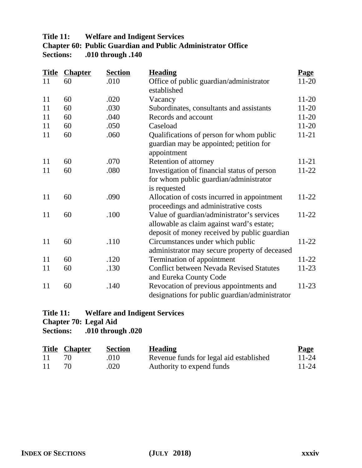#### **Title 11: Welfare and Indigent Services Chapter 60: Public Guardian and Public Administrator Office Sections: .010 through .140**

| <b>Title</b> | <b>Chapter</b> | <b>Section</b> | <b>Heading</b>                                  | <b>Page</b> |
|--------------|----------------|----------------|-------------------------------------------------|-------------|
| 11           | 60             | .010           | Office of public guardian/administrator         | $11 - 20$   |
|              |                |                | established                                     |             |
| 11           | 60             | .020           | Vacancy                                         | $11-20$     |
| 11           | 60             | .030           | Subordinates, consultants and assistants        | $11 - 20$   |
| 11           | 60             | .040           | Records and account                             | $11 - 20$   |
| 11           | 60             | .050           | Caseload                                        | $11-20$     |
| 11           | 60             | .060           | Qualifications of person for whom public        | $11 - 21$   |
|              |                |                | guardian may be appointed; petition for         |             |
|              |                |                | appointment                                     |             |
| 11           | 60             | .070           | Retention of attorney                           | $11 - 21$   |
| 11           | 60             | .080           | Investigation of financial status of person     | $11-22$     |
|              |                |                | for whom public guardian/administrator          |             |
|              |                |                | is requested                                    |             |
| 11           | 60             | .090           | Allocation of costs incurred in appointment     | $11-22$     |
|              |                |                | proceedings and administrative costs            |             |
| 11           | 60             | .100           | Value of guardian/administrator's services      | $11-22$     |
|              |                |                | allowable as claim against ward's estate;       |             |
|              |                |                | deposit of money received by public guardian    |             |
| 11           | 60             | .110           | Circumstances under which public                | $11-22$     |
|              |                |                | administrator may secure property of deceased   |             |
| 11           | 60             | .120           | Termination of appointment                      | $11-22$     |
| 11           | 60             | .130           | <b>Conflict between Nevada Revised Statutes</b> | $11-23$     |
|              |                |                | and Eureka County Code                          |             |
| 11           | 60             | .140           | Revocation of previous appointments and         | $11-23$     |
|              |                |                | designations for public guardian/administrator  |             |

# **Title 11: Welfare and Indigent Services**

**Chapter 70: Legal Aid<br>Sections: 010 throughtlengle** 

|     | <b>Title Chapter</b> | <b>Section</b> | <b>Heading</b>                          | <b>Page</b> |
|-----|----------------------|----------------|-----------------------------------------|-------------|
| -11 |                      | .010           | Revenue funds for legal aid established | $11 - 24$   |
| -11 |                      | .020           | Authority to expend funds               | $11 - 24$   |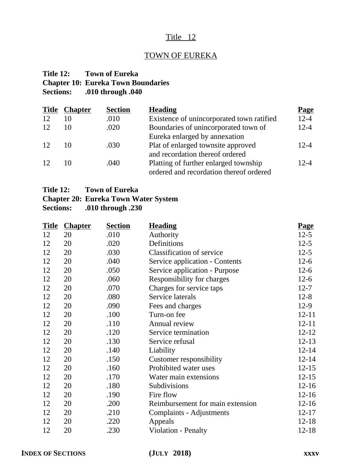## TOWN OF EUREKA

## **Title 12: Town of Eureka Chapter 10: Eureka Town Boundaries Sections: .010 through .040**

| <b>Chapter</b> | <b>Section</b> | <b>Heading</b>                            | <b>Page</b> |
|----------------|----------------|-------------------------------------------|-------------|
| 10             | .010           | Existence of unincorporated town ratified | $12 - 4$    |
| 10             | .020           | Boundaries of unincorporated town of      | $12 - 4$    |
|                |                | Eureka enlarged by annexation             |             |
| 10             | .030           | Plat of enlarged townsite approved        | $12 - 4$    |
|                |                | and recordation thereof ordered           |             |
| 10             | .040           | Platting of further enlarged township     | $12 - 4$    |
|                |                | ordered and recordation thereof ordered   |             |
|                |                |                                           |             |

## **Chapter 20: Eureka Town Water System**

| <b>Title</b> | <b>Chapter</b> | <b>Section</b> | <b>Heading</b>                   | <b>Page</b> |
|--------------|----------------|----------------|----------------------------------|-------------|
| 12           | 20             | .010           | Authority                        | $12 - 5$    |
| 12           | 20             | .020           | Definitions                      | $12-5$      |
| 12           | 20             | .030           | <b>Classification of service</b> | $12 - 5$    |
| 12           | 20             | .040           | Service application - Contents   | $12-6$      |
| 12           | 20             | .050           | Service application - Purpose    | $12-6$      |
| 12           | 20             | .060           | Responsibility for charges       | $12-6$      |
| 12           | 20             | .070           | Charges for service taps         | $12 - 7$    |
| 12           | 20             | .080           | Service laterals                 | $12 - 8$    |
| 12           | 20             | .090           | Fees and charges                 | $12-9$      |
| 12           | 20             | .100           | Turn-on fee                      | $12 - 11$   |
| 12           | 20             | .110           | Annual review                    | $12 - 11$   |
| 12           | 20             | .120           | Service termination              | $12 - 12$   |
| 12           | 20             | .130           | Service refusal                  | $12 - 13$   |
| 12           | 20             | .140           | Liability                        | $12 - 14$   |
| 12           | 20             | .150           | Customer responsibility          | $12 - 14$   |
| 12           | 20             | .160           | Prohibited water uses            | $12 - 15$   |
| 12           | 20             | .170           | Water main extensions            | $12 - 15$   |
| 12           | 20             | .180           | Subdivisions                     | $12 - 16$   |
| 12           | 20             | .190           | Fire flow                        | $12 - 16$   |
| 12           | 20             | .200           | Reimbursement for main extension | $12 - 16$   |
| 12           | 20             | .210           | Complaints - Adjustments         | $12 - 17$   |
| 12           | 20             | .220           | Appeals                          | $12 - 18$   |
| 12           | 20             | .230           | Violation - Penalty              | $12 - 18$   |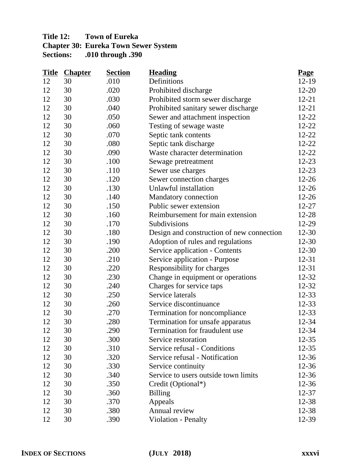## **Title 12: Town of Eureka Chapter 30: Eureka Town Sewer System<br>Sections: .010 through .390 Sections: .010 through .390**

| <b>Title</b> | <b>Chapter</b> | <b>Section</b> | <b>Heading</b>                            | <b>Page</b> |
|--------------|----------------|----------------|-------------------------------------------|-------------|
| 12           | 30             | .010           | Definitions                               | 12-19       |
| 12           | 30             | .020           | Prohibited discharge                      | $12 - 20$   |
| 12           | 30             | .030           | Prohibited storm sewer discharge          | $12 - 21$   |
| 12           | 30             | .040           | Prohibited sanitary sewer discharge       | $12 - 21$   |
| 12           | 30             | .050           | Sewer and attachment inspection           | $12 - 22$   |
| 12           | 30             | .060           | Testing of sewage waste                   | $12 - 22$   |
| 12           | 30             | .070           | Septic tank contents                      | $12 - 22$   |
| 12           | 30             | .080           | Septic tank discharge                     | $12 - 22$   |
| 12           | 30             | .090           | Waste character determination             | $12 - 22$   |
| 12           | 30             | .100           | Sewage pretreatment                       | $12 - 23$   |
| 12           | 30             | .110           | Sewer use charges                         | $12 - 23$   |
| 12           | 30             | .120           | Sewer connection charges                  | $12 - 26$   |
| 12           | 30             | .130           | Unlawful installation                     | $12 - 26$   |
| 12           | 30             | .140           | Mandatory connection                      | $12 - 26$   |
| 12           | 30             | .150           | Public sewer extension                    | $12 - 27$   |
| 12           | 30             | .160           | Reimbursement for main extension          | $12 - 28$   |
| 12           | 30             | .170           | Subdivisions                              | 12-29       |
| 12           | 30             | .180           | Design and construction of new connection | 12-30       |
| 12           | 30             | .190           | Adoption of rules and regulations         | 12-30       |
| 12           | 30             | .200           | Service application - Contents            | $12 - 30$   |
| 12           | 30             | .210           | Service application - Purpose             | 12-31       |
| 12           | 30             | .220           | Responsibility for charges                | $12 - 31$   |
| 12           | 30             | .230           | Change in equipment or operations         | 12-32       |
| 12           | 30             | .240           | Charges for service taps                  | 12-32       |
| 12           | 30             | .250           | Service laterals                          | 12-33       |
| 12           | 30             | .260           | Service discontinuance                    | 12-33       |
| 12           | 30             | .270           | Termination for noncompliance             | 12-33       |
| 12           | 30             | .280           | Termination for unsafe apparatus          | 12-34       |
| 12           | 30             | .290           | Termination for fraudulent use            | 12-34       |
| 12           | 30             | .300           | Service restoration                       | $12 - 35$   |
| 12           | 30             | .310           | Service refusal - Conditions              | $12 - 35$   |
| 12           | 30             | .320           | Service refusal - Notification            | 12-36       |
| 12           | 30             | .330           | Service continuity                        | $12 - 36$   |
| 12           | 30             | .340           | Service to users outside town limits      | 12-36       |
| 12           | 30             | .350           | Credit (Optional*)                        | $12 - 36$   |
| 12           | 30             | .360           | <b>Billing</b>                            | $12 - 37$   |
| 12           | 30             | .370           | Appeals                                   | 12-38       |
| 12           | 30             | .380           | Annual review                             | 12-38       |
| 12           | 30             | .390           | Violation - Penalty                       | 12-39       |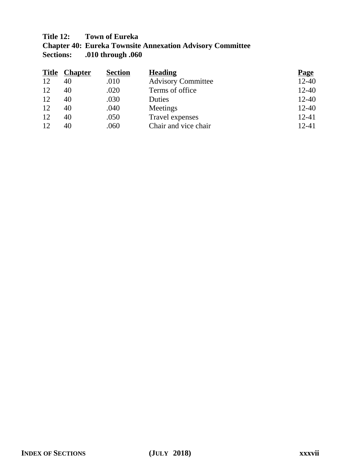## **Title 12: Town of Eureka**

**Chapter 40: Eureka Townsite Annexation Advisory Committee Sections: .010 through .060**

|    | <b>Title Chapter</b> | <b>Section</b> | <b>Heading</b>            | <b>Page</b> |
|----|----------------------|----------------|---------------------------|-------------|
| 12 | 40                   | .010           | <b>Advisory Committee</b> | $12 - 40$   |
| 12 | 40                   | .020           | Terms of office           | $12 - 40$   |
| 12 | 40                   | .030           | Duties                    | $12 - 40$   |
| 12 | 40                   | .040           | Meetings                  | $12 - 40$   |
| 12 | 40                   | .050           | Travel expenses           | $12 - 41$   |
| 12 | 40                   | .060           | Chair and vice chair      | $12 - 41$   |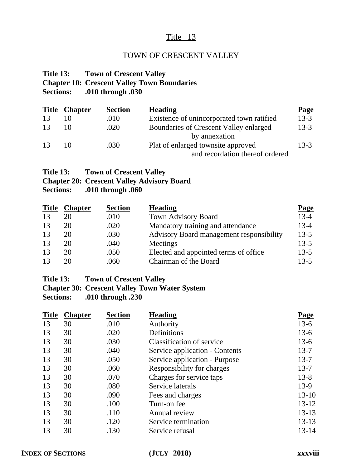## TOWN OF CRESCENT VALLEY

#### **Title 13: Town of Crescent Valley Chapter 10: Crescent Valley Town Boundaries Sections: .010 through .030**

| <b>Title</b> | <b>Chapter</b> | <b>Section</b> | <b>Heading</b>                            | <b>Page</b> |
|--------------|----------------|----------------|-------------------------------------------|-------------|
| 13           |                | .010           | Existence of unincorporated town ratified | $13 - 3$    |
| 13           |                | .020           | Boundaries of Crescent Valley enlarged    | $13-3$      |
|              |                |                | by annexation                             |             |
| 13           | 10             | .030           | Plat of enlarged townsite approved        | $13-3$      |
|              |                |                | and recordation thereof ordered           |             |

## **Title 13: Town of Crescent Valley**

## **Chapter 20: Crescent Valley Advisory Board**

**Sections: .010 through .060**

| <b>Title</b> | <b>Chapter</b> | <b>Section</b> | <b>Heading</b>                           | Page     |
|--------------|----------------|----------------|------------------------------------------|----------|
| 13           | 20             | .010           | Town Advisory Board                      | $13 - 4$ |
| 13           | 20             | .020           | Mandatory training and attendance        | $13-4$   |
| 13           | 20             | .030           | Advisory Board management responsibility | $13 - 5$ |
| 13           | 20             | .040           | Meetings                                 | $13 - 5$ |
| 13           | 20             | .050           | Elected and appointed terms of office.   | $13 - 5$ |
| 13           | 20             | .060           | Chairman of the Board                    | $13-5$   |

#### **Title 13: Town of Crescent Valley**

**Chapter 30: Crescent Valley Town Water System**

| <b>Title</b> | <b>Chapter</b> | <b>Section</b> | <b>Heading</b>                 | <b>Page</b> |
|--------------|----------------|----------------|--------------------------------|-------------|
| 13           | 30             | .010           | Authority                      | $13-6$      |
| 13           | 30             | .020           | Definitions                    | $13-6$      |
| 13           | 30             | .030           | Classification of service      | $13-6$      |
| 13           | 30             | .040           | Service application - Contents | $13 - 7$    |
| 13           | 30             | .050           | Service application - Purpose  | $13 - 7$    |
| 13           | 30             | .060           | Responsibility for charges     | $13 - 7$    |
| 13           | 30             | .070           | Charges for service taps       | $13 - 8$    |
| 13           | 30             | .080           | Service laterals               | $13-9$      |
| 13           | 30             | .090           | Fees and charges               | $13 - 10$   |
| 13           | 30             | .100           | Turn-on fee                    | $13 - 12$   |
| 13           | 30             | .110           | Annual review                  | $13 - 13$   |
| 13           | 30             | .120           | Service termination            | $13 - 13$   |
| 13           | 30             | .130           | Service refusal                | 13-14       |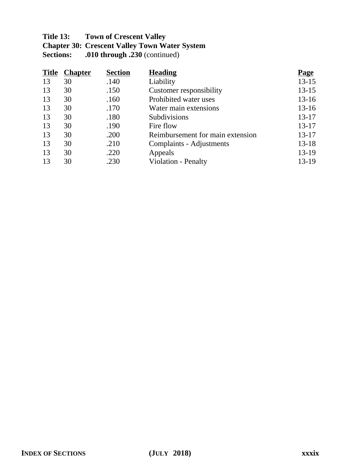## **Title 13: Town of Crescent Valley Chapter 30: Crescent Valley Town Water System Sections: .010 through .230** (continued)

| <b>Title</b> | <b>Chapter</b> | <b>Section</b> | <b>Heading</b>                   | <b>Page</b> |
|--------------|----------------|----------------|----------------------------------|-------------|
| 13           | 30             | .140           | Liability                        | $13 - 15$   |
| 13           | 30             | .150           | Customer responsibility          | $13 - 15$   |
| 13           | 30             | .160           | Prohibited water uses            | $13 - 16$   |
| 13           | 30             | .170           | Water main extensions            | $13 - 16$   |
| 13           | 30             | .180           | Subdivisions                     | $13 - 17$   |
| 13           | 30             | .190           | Fire flow                        | $13 - 17$   |
| 13           | 30             | .200           | Reimbursement for main extension | 13-17       |
| 13           | 30             | .210           | Complaints - Adjustments         | $13 - 18$   |
| 13           | 30             | .220           | Appeals                          | 13-19       |
| 13           | 30             | .230           | Violation - Penalty              | 13-19       |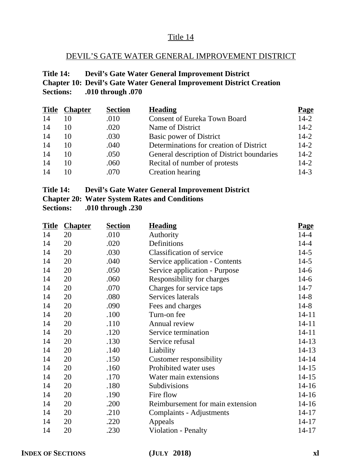## DEVIL'S GATE WATER GENERAL IMPROVEMENT DISTRICT

## **Title 14: Devil's Gate Water General Improvement District Chapter 10: Devil's Gate Water General Improvement District Creation Sections: .010 through .070**

|    | <b>Title Chapter</b> | <b>Section</b> | <b>Heading</b>                             | Page     |
|----|----------------------|----------------|--------------------------------------------|----------|
| 14 | 10                   | .010           | <b>Consent of Eureka Town Board</b>        | $14 - 2$ |
| 14 | 10                   | .020           | Name of District                           | $14 - 2$ |
| 14 | 10                   | .030           | Basic power of District                    | $14 - 2$ |
| 14 | 10                   | .040           | Determinations for creation of District    | $14 - 2$ |
| 14 | 10                   | .050           | General description of District boundaries | $14 - 2$ |
| 14 | 10                   | .060           | Recital of number of protests              | $14 - 2$ |
| 14 |                      | .070           | Creation hearing                           | $14 - 3$ |

| Title 14: |  |  | <b>Devil's Gate Water General Improvement District</b> |  |  |
|-----------|--|--|--------------------------------------------------------|--|--|
|           |  |  |                                                        |  |  |

**Chapter 20: Water System Rates and Conditions**

| <b>Title</b> | <b>Chapter</b> | <b>Section</b> | <b>Heading</b>                   | <b>Page</b> |
|--------------|----------------|----------------|----------------------------------|-------------|
| 14           | 20             | .010           | Authority                        | $14 - 4$    |
| 14           | 20             | .020           | Definitions                      | $14 - 4$    |
| 14           | 20             | .030           | <b>Classification of service</b> | $14-5$      |
| 14           | 20             | .040           | Service application - Contents   | $14-5$      |
| 14           | 20             | .050           | Service application - Purpose    | $14-6$      |
| 14           | 20             | .060           | Responsibility for charges       | $14-6$      |
| 14           | 20             | .070           | Charges for service taps         | $14 - 7$    |
| 14           | 20             | .080           | Services laterals                | $14 - 8$    |
| 14           | 20             | .090           | Fees and charges                 | $14 - 8$    |
| 14           | 20             | .100           | Turn-on fee                      | $14 - 11$   |
| 14           | 20             | .110           | Annual review                    | $14 - 11$   |
| 14           | 20             | .120           | Service termination              | $14 - 11$   |
| 14           | 20             | .130           | Service refusal                  | $14 - 13$   |
| 14           | 20             | .140           | Liability                        | $14 - 13$   |
| 14           | 20             | .150           | Customer responsibility          | $14 - 14$   |
| 14           | 20             | .160           | Prohibited water uses            | $14 - 15$   |
| 14           | 20             | .170           | Water main extensions            | $14 - 15$   |
| 14           | 20             | .180           | Subdivisions                     | $14 - 16$   |
| 14           | 20             | .190           | Fire flow                        | $14 - 16$   |
| 14           | 20             | .200           | Reimbursement for main extension | $14 - 16$   |
| 14           | 20             | .210           | <b>Complaints - Adjustments</b>  | $14 - 17$   |
| 14           | 20             | .220           | Appeals                          | $14 - 17$   |
| 14           | 20             | .230           | Violation - Penalty              | 14-17       |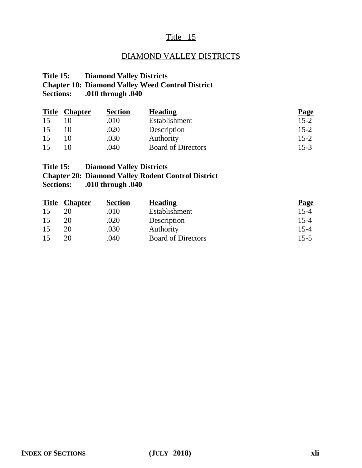## DIAMOND VALLEY DISTRICTS

#### **Title 15: Diamond Valley Districts**

## **Chapter 10: Diamond Valley Weed Control District**

## **Sections: .010 through .040**

| <b>Title</b> | <b>Chapter</b> | <b>Section</b> | <b>Heading</b>            | <b>Page</b> |
|--------------|----------------|----------------|---------------------------|-------------|
| 15           |                | .010           | Establishment             | $15 - 2$    |
| 15           |                | .020           | Description               | $15 - 2$    |
| 15           |                | .030           | Authority                 | $15 - 2$    |
| 15           |                | .040           | <b>Board of Directors</b> | $15 - 3$    |

## **Title 15: Diamond Valley Districts**

# **Chapter 20: Diamond Valley Rodent Control District**

| <b>Title</b> | <u>Chapter</u> | <b>Section</b> | <b>Heading</b>            | <b>Page</b> |
|--------------|----------------|----------------|---------------------------|-------------|
| 15           |                | .010           | Establishment             | $15 - 4$    |
| 15           | 20             | .020           | Description               | 15-4        |
| 15           | 20             | .030           | Authority                 | 15-4        |
| 15           | 20             | .040           | <b>Board of Directors</b> | $15 - 5$    |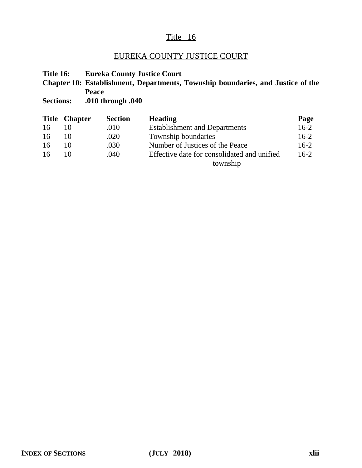## EUREKA COUNTY JUSTICE COURT

**Title 16: Eureka County Justice Court**

**Chapter 10: Establishment, Departments, Township boundaries, and Justice of the Peace**

| <b>Title</b> | <b>Chapter</b> | <b>Section</b> | <b>Heading</b>                              | <b>Page</b> |
|--------------|----------------|----------------|---------------------------------------------|-------------|
| 16           |                | .010           | <b>Establishment and Departments</b>        | $16-2$      |
| 16           |                | .020           | Township boundaries                         | $16-2$      |
| 16           |                | .030           | Number of Justices of the Peace             | $16-2$      |
| 16           |                | .040           | Effective date for consolidated and unified | $16-2$      |
|              |                |                | township                                    |             |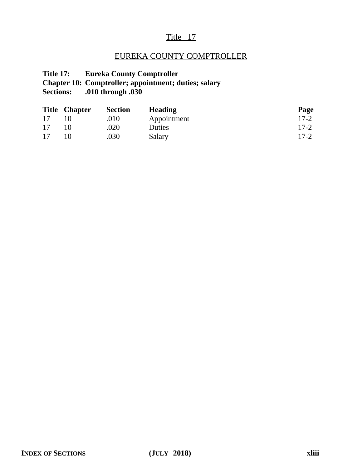## EUREKA COUNTY COMPTROLLER

## **Title 17: Eureka County Comptroller Chapter 10: Comptroller; appointment; duties; salary Sections: .010 through .030**

|    | <b>Title Chapter</b> | <b>Section</b> | <b>Heading</b> | <b>Page</b> |
|----|----------------------|----------------|----------------|-------------|
| 17 |                      | .010           | Appointment    | $17 - 2$    |
| 17 |                      | .020           | Duties         | $17-2$      |
| 17 |                      | .030           | Salary         | $17 - 2$    |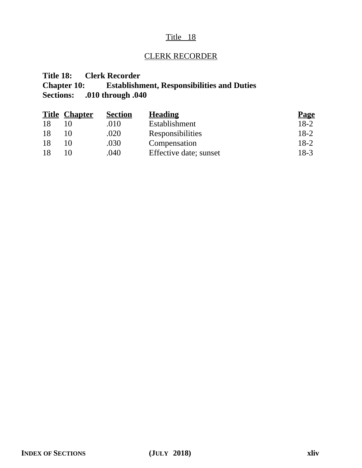## CLERK RECORDER

## **Title 18: Clerk Recorder Chapter 10: Establishment, Responsibilities and Duties Sections: .010 through .040**

|    | <b>Title Chapter</b> | <b>Section</b> | <b>Heading</b>         | <b>Page</b> |
|----|----------------------|----------------|------------------------|-------------|
| 18 |                      | .010           | Establishment          | $18-2$      |
| 18 |                      | .020           | Responsibilities       | $18-2$      |
| 18 |                      | .030           | Compensation           | $18-2$      |
| 18 |                      | .040           | Effective date; sunset | 18-3        |